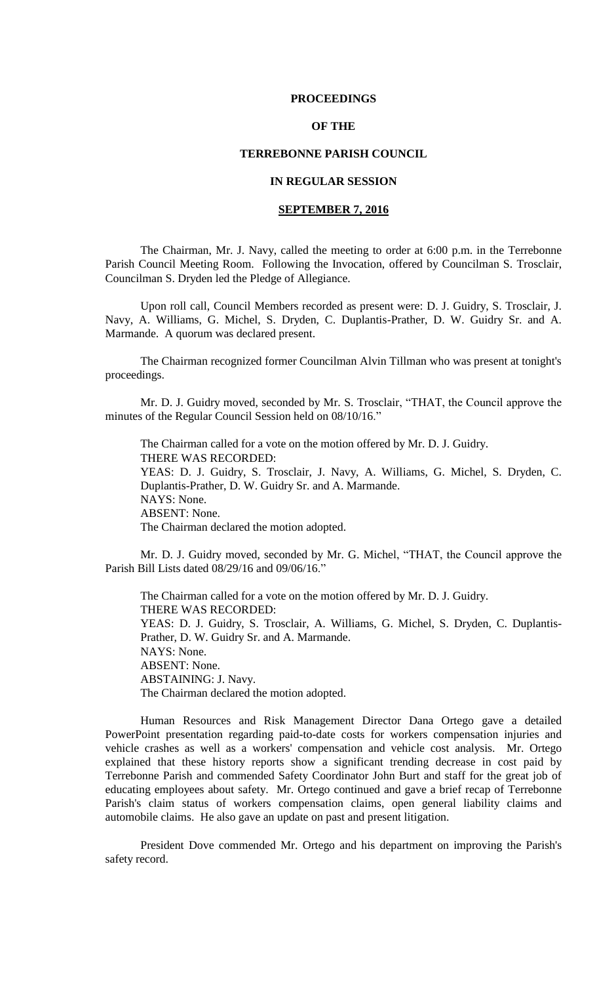### **PROCEEDINGS**

# **OF THE**

## **TERREBONNE PARISH COUNCIL**

# **IN REGULAR SESSION**

# **SEPTEMBER 7, 2016**

The Chairman, Mr. J. Navy, called the meeting to order at 6:00 p.m. in the Terrebonne Parish Council Meeting Room. Following the Invocation, offered by Councilman S. Trosclair, Councilman S. Dryden led the Pledge of Allegiance.

Upon roll call, Council Members recorded as present were: D. J. Guidry, S. Trosclair, J. Navy, A. Williams, G. Michel, S. Dryden, C. Duplantis-Prather, D. W. Guidry Sr. and A. Marmande. A quorum was declared present.

The Chairman recognized former Councilman Alvin Tillman who was present at tonight's proceedings.

Mr. D. J. Guidry moved, seconded by Mr. S. Trosclair, "THAT, the Council approve the minutes of the Regular Council Session held on 08/10/16."

The Chairman called for a vote on the motion offered by Mr. D. J. Guidry. THERE WAS RECORDED: YEAS: D. J. Guidry, S. Trosclair, J. Navy, A. Williams, G. Michel, S. Dryden, C. Duplantis-Prather, D. W. Guidry Sr. and A. Marmande. NAYS: None. ABSENT: None. The Chairman declared the motion adopted.

Mr. D. J. Guidry moved, seconded by Mr. G. Michel, "THAT, the Council approve the Parish Bill Lists dated 08/29/16 and 09/06/16."

The Chairman called for a vote on the motion offered by Mr. D. J. Guidry. THERE WAS RECORDED: YEAS: D. J. Guidry, S. Trosclair, A. Williams, G. Michel, S. Dryden, C. Duplantis-Prather, D. W. Guidry Sr. and A. Marmande. NAYS: None. ABSENT: None. ABSTAINING: J. Navy. The Chairman declared the motion adopted.

Human Resources and Risk Management Director Dana Ortego gave a detailed PowerPoint presentation regarding paid-to-date costs for workers compensation injuries and vehicle crashes as well as a workers' compensation and vehicle cost analysis. Mr. Ortego explained that these history reports show a significant trending decrease in cost paid by Terrebonne Parish and commended Safety Coordinator John Burt and staff for the great job of educating employees about safety. Mr. Ortego continued and gave a brief recap of Terrebonne Parish's claim status of workers compensation claims, open general liability claims and automobile claims. He also gave an update on past and present litigation.

President Dove commended Mr. Ortego and his department on improving the Parish's safety record.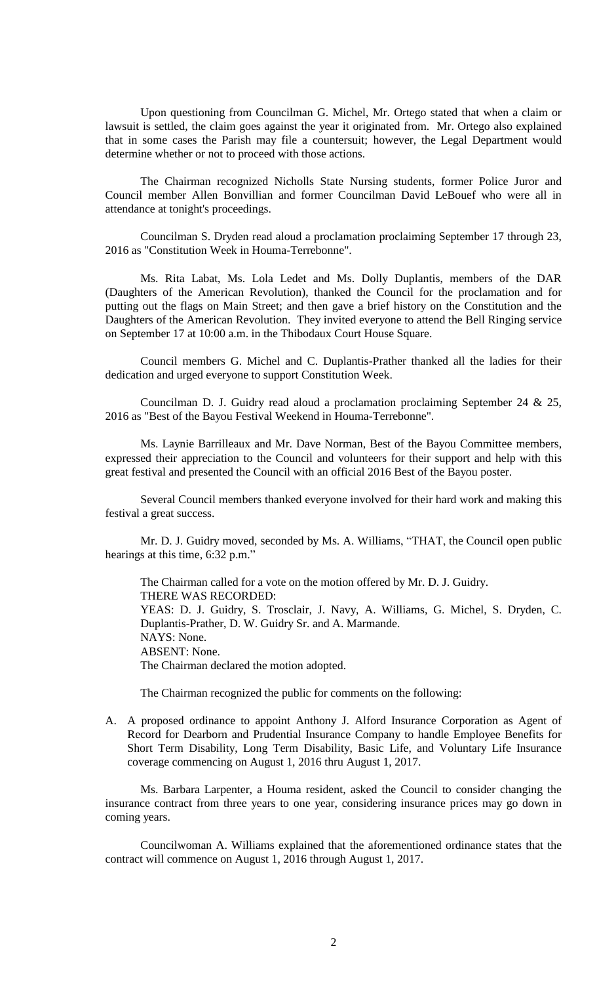Upon questioning from Councilman G. Michel, Mr. Ortego stated that when a claim or lawsuit is settled, the claim goes against the year it originated from. Mr. Ortego also explained that in some cases the Parish may file a countersuit; however, the Legal Department would determine whether or not to proceed with those actions.

The Chairman recognized Nicholls State Nursing students, former Police Juror and Council member Allen Bonvillian and former Councilman David LeBouef who were all in attendance at tonight's proceedings.

Councilman S. Dryden read aloud a proclamation proclaiming September 17 through 23, 2016 as "Constitution Week in Houma-Terrebonne".

Ms. Rita Labat, Ms. Lola Ledet and Ms. Dolly Duplantis, members of the DAR (Daughters of the American Revolution), thanked the Council for the proclamation and for putting out the flags on Main Street; and then gave a brief history on the Constitution and the Daughters of the American Revolution. They invited everyone to attend the Bell Ringing service on September 17 at 10:00 a.m. in the Thibodaux Court House Square.

Council members G. Michel and C. Duplantis-Prather thanked all the ladies for their dedication and urged everyone to support Constitution Week.

Councilman D. J. Guidry read aloud a proclamation proclaiming September 24 & 25, 2016 as "Best of the Bayou Festival Weekend in Houma-Terrebonne".

Ms. Laynie Barrilleaux and Mr. Dave Norman, Best of the Bayou Committee members, expressed their appreciation to the Council and volunteers for their support and help with this great festival and presented the Council with an official 2016 Best of the Bayou poster.

Several Council members thanked everyone involved for their hard work and making this festival a great success.

Mr. D. J. Guidry moved, seconded by Ms. A. Williams, "THAT, the Council open public hearings at this time, 6:32 p.m."

The Chairman called for a vote on the motion offered by Mr. D. J. Guidry. THERE WAS RECORDED: YEAS: D. J. Guidry, S. Trosclair, J. Navy, A. Williams, G. Michel, S. Dryden, C. Duplantis-Prather, D. W. Guidry Sr. and A. Marmande. NAYS: None. ABSENT: None. The Chairman declared the motion adopted.

The Chairman recognized the public for comments on the following:

A. A proposed ordinance to appoint Anthony J. Alford Insurance Corporation as Agent of Record for Dearborn and Prudential Insurance Company to handle Employee Benefits for Short Term Disability, Long Term Disability, Basic Life, and Voluntary Life Insurance coverage commencing on August 1, 2016 thru August 1, 2017.

Ms. Barbara Larpenter, a Houma resident, asked the Council to consider changing the insurance contract from three years to one year, considering insurance prices may go down in coming years.

Councilwoman A. Williams explained that the aforementioned ordinance states that the contract will commence on August 1, 2016 through August 1, 2017.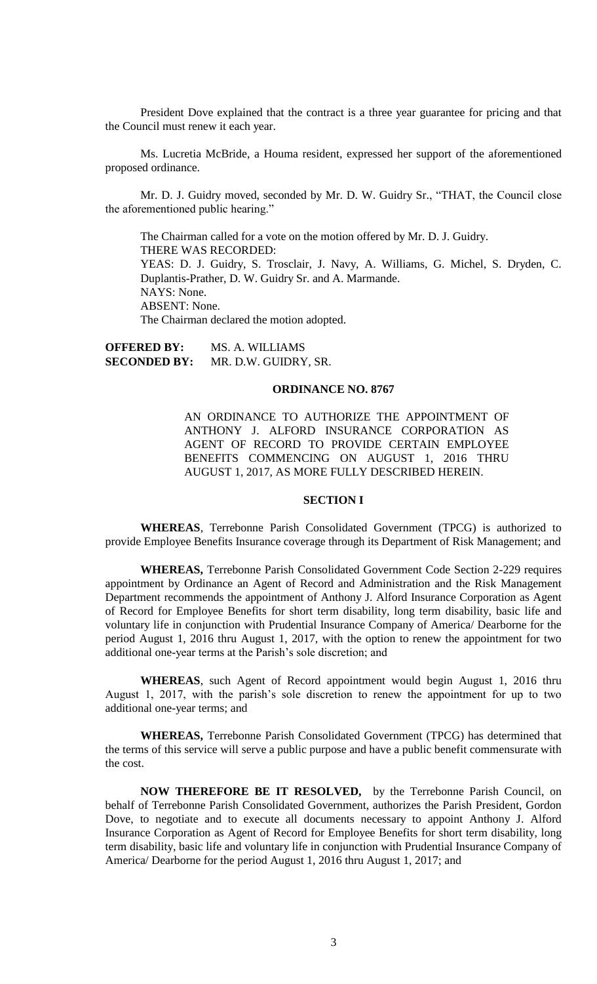President Dove explained that the contract is a three year guarantee for pricing and that the Council must renew it each year.

Ms. Lucretia McBride, a Houma resident, expressed her support of the aforementioned proposed ordinance.

Mr. D. J. Guidry moved, seconded by Mr. D. W. Guidry Sr., "THAT, the Council close the aforementioned public hearing."

The Chairman called for a vote on the motion offered by Mr. D. J. Guidry. THERE WAS RECORDED: YEAS: D. J. Guidry, S. Trosclair, J. Navy, A. Williams, G. Michel, S. Dryden, C. Duplantis-Prather, D. W. Guidry Sr. and A. Marmande. NAYS: None. ABSENT: None. The Chairman declared the motion adopted.

**OFFERED BY: MS. A. WILLIAMS<br><b>SECONDED BY:** MR. D.W. GUIDRY MR. D.W. GUIDRY, SR.

#### **ORDINANCE NO. 8767**

AN ORDINANCE TO AUTHORIZE THE APPOINTMENT OF ANTHONY J. ALFORD INSURANCE CORPORATION AS AGENT OF RECORD TO PROVIDE CERTAIN EMPLOYEE BENEFITS COMMENCING ON AUGUST 1, 2016 THRU AUGUST 1, 2017, AS MORE FULLY DESCRIBED HEREIN.

# **SECTION I**

**WHEREAS**, Terrebonne Parish Consolidated Government (TPCG) is authorized to provide Employee Benefits Insurance coverage through its Department of Risk Management; and

**WHEREAS,** Terrebonne Parish Consolidated Government Code Section 2-229 requires appointment by Ordinance an Agent of Record and Administration and the Risk Management Department recommends the appointment of Anthony J. Alford Insurance Corporation as Agent of Record for Employee Benefits for short term disability, long term disability, basic life and voluntary life in conjunction with Prudential Insurance Company of America/ Dearborne for the period August 1, 2016 thru August 1, 2017, with the option to renew the appointment for two additional one-year terms at the Parish's sole discretion; and

**WHEREAS**, such Agent of Record appointment would begin August 1, 2016 thru August 1, 2017, with the parish's sole discretion to renew the appointment for up to two additional one-year terms; and

**WHEREAS,** Terrebonne Parish Consolidated Government (TPCG) has determined that the terms of this service will serve a public purpose and have a public benefit commensurate with the cost.

**NOW THEREFORE BE IT RESOLVED,** by the Terrebonne Parish Council, on behalf of Terrebonne Parish Consolidated Government, authorizes the Parish President, Gordon Dove, to negotiate and to execute all documents necessary to appoint Anthony J. Alford Insurance Corporation as Agent of Record for Employee Benefits for short term disability, long term disability, basic life and voluntary life in conjunction with Prudential Insurance Company of America/ Dearborne for the period August 1, 2016 thru August 1, 2017; and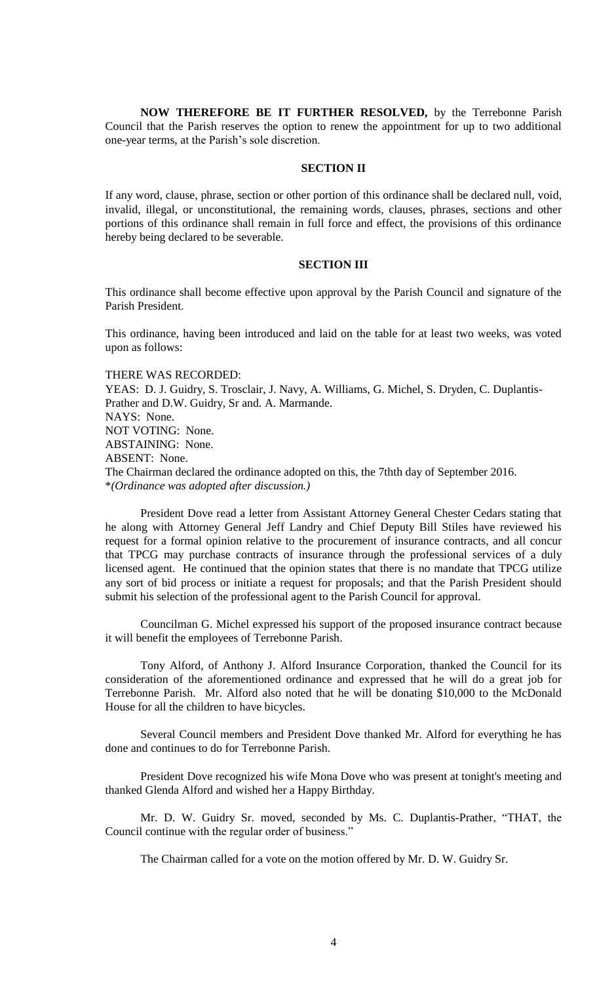**NOW THEREFORE BE IT FURTHER RESOLVED,** by the Terrebonne Parish Council that the Parish reserves the option to renew the appointment for up to two additional one-year terms, at the Parish's sole discretion.

### **SECTION II**

If any word, clause, phrase, section or other portion of this ordinance shall be declared null, void, invalid, illegal, or unconstitutional, the remaining words, clauses, phrases, sections and other portions of this ordinance shall remain in full force and effect, the provisions of this ordinance hereby being declared to be severable.

# **SECTION III**

This ordinance shall become effective upon approval by the Parish Council and signature of the Parish President.

This ordinance, having been introduced and laid on the table for at least two weeks, was voted upon as follows:

THERE WAS RECORDED: YEAS: D. J. Guidry, S. Trosclair, J. Navy, A. Williams, G. Michel, S. Dryden, C. Duplantis-Prather and D.W. Guidry, Sr and. A. Marmande. NAYS: None. NOT VOTING: None. ABSTAINING: None. ABSENT: None. The Chairman declared the ordinance adopted on this, the 7thth day of September 2016. \**(Ordinance was adopted after discussion.)*

President Dove read a letter from Assistant Attorney General Chester Cedars stating that he along with Attorney General Jeff Landry and Chief Deputy Bill Stiles have reviewed his request for a formal opinion relative to the procurement of insurance contracts, and all concur that TPCG may purchase contracts of insurance through the professional services of a duly licensed agent. He continued that the opinion states that there is no mandate that TPCG utilize any sort of bid process or initiate a request for proposals; and that the Parish President should submit his selection of the professional agent to the Parish Council for approval.

Councilman G. Michel expressed his support of the proposed insurance contract because it will benefit the employees of Terrebonne Parish.

Tony Alford, of Anthony J. Alford Insurance Corporation, thanked the Council for its consideration of the aforementioned ordinance and expressed that he will do a great job for Terrebonne Parish. Mr. Alford also noted that he will be donating \$10,000 to the McDonald House for all the children to have bicycles.

Several Council members and President Dove thanked Mr. Alford for everything he has done and continues to do for Terrebonne Parish.

President Dove recognized his wife Mona Dove who was present at tonight's meeting and thanked Glenda Alford and wished her a Happy Birthday.

Mr. D. W. Guidry Sr. moved, seconded by Ms. C. Duplantis-Prather, "THAT, the Council continue with the regular order of business."

The Chairman called for a vote on the motion offered by Mr. D. W. Guidry Sr.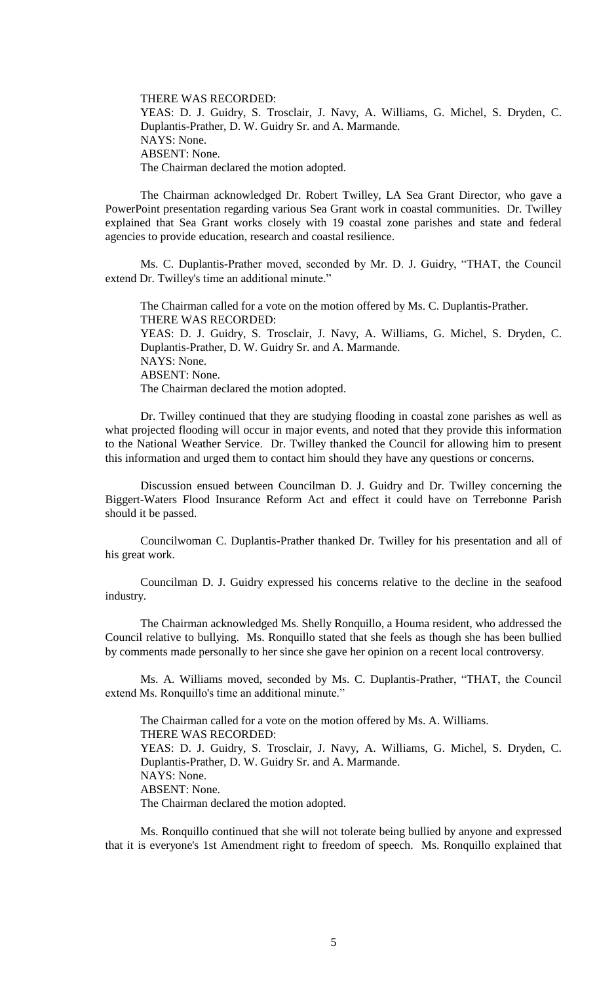THERE WAS RECORDED: YEAS: D. J. Guidry, S. Trosclair, J. Navy, A. Williams, G. Michel, S. Dryden, C. Duplantis-Prather, D. W. Guidry Sr. and A. Marmande. NAYS: None. ABSENT: None. The Chairman declared the motion adopted.

The Chairman acknowledged Dr. Robert Twilley, LA Sea Grant Director, who gave a PowerPoint presentation regarding various Sea Grant work in coastal communities. Dr. Twilley explained that Sea Grant works closely with 19 coastal zone parishes and state and federal agencies to provide education, research and coastal resilience.

Ms. C. Duplantis-Prather moved, seconded by Mr. D. J. Guidry, "THAT, the Council extend Dr. Twilley's time an additional minute."

The Chairman called for a vote on the motion offered by Ms. C. Duplantis-Prather. THERE WAS RECORDED: YEAS: D. J. Guidry, S. Trosclair, J. Navy, A. Williams, G. Michel, S. Dryden, C. Duplantis-Prather, D. W. Guidry Sr. and A. Marmande. NAYS: None. ABSENT: None. The Chairman declared the motion adopted.

Dr. Twilley continued that they are studying flooding in coastal zone parishes as well as what projected flooding will occur in major events, and noted that they provide this information to the National Weather Service. Dr. Twilley thanked the Council for allowing him to present this information and urged them to contact him should they have any questions or concerns.

Discussion ensued between Councilman D. J. Guidry and Dr. Twilley concerning the Biggert-Waters Flood Insurance Reform Act and effect it could have on Terrebonne Parish should it be passed.

Councilwoman C. Duplantis-Prather thanked Dr. Twilley for his presentation and all of his great work.

Councilman D. J. Guidry expressed his concerns relative to the decline in the seafood industry.

The Chairman acknowledged Ms. Shelly Ronquillo, a Houma resident, who addressed the Council relative to bullying. Ms. Ronquillo stated that she feels as though she has been bullied by comments made personally to her since she gave her opinion on a recent local controversy.

Ms. A. Williams moved, seconded by Ms. C. Duplantis-Prather, "THAT, the Council extend Ms. Ronquillo's time an additional minute."

The Chairman called for a vote on the motion offered by Ms. A. Williams. THERE WAS RECORDED: YEAS: D. J. Guidry, S. Trosclair, J. Navy, A. Williams, G. Michel, S. Dryden, C. Duplantis-Prather, D. W. Guidry Sr. and A. Marmande. NAYS: None. ABSENT: None. The Chairman declared the motion adopted.

Ms. Ronquillo continued that she will not tolerate being bullied by anyone and expressed that it is everyone's 1st Amendment right to freedom of speech. Ms. Ronquillo explained that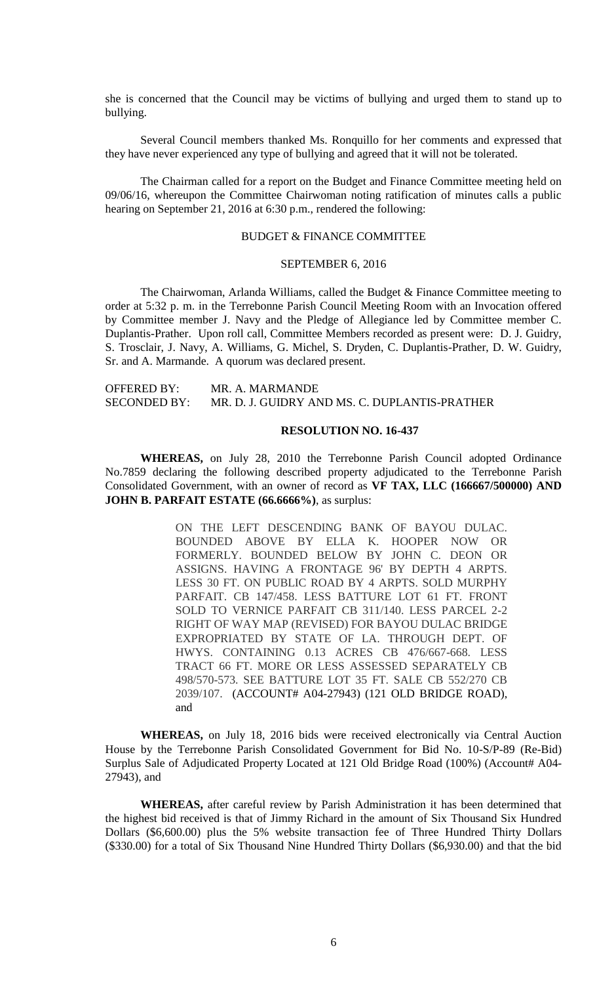she is concerned that the Council may be victims of bullying and urged them to stand up to bullying.

Several Council members thanked Ms. Ronquillo for her comments and expressed that they have never experienced any type of bullying and agreed that it will not be tolerated.

The Chairman called for a report on the Budget and Finance Committee meeting held on 09/06/16, whereupon the Committee Chairwoman noting ratification of minutes calls a public hearing on September 21, 2016 at 6:30 p.m., rendered the following:

# BUDGET & FINANCE COMMITTEE

### SEPTEMBER 6, 2016

The Chairwoman, Arlanda Williams, called the Budget & Finance Committee meeting to order at 5:32 p. m. in the Terrebonne Parish Council Meeting Room with an Invocation offered by Committee member J. Navy and the Pledge of Allegiance led by Committee member C. Duplantis-Prather. Upon roll call, Committee Members recorded as present were: D. J. Guidry, S. Trosclair, J. Navy, A. Williams, G. Michel, S. Dryden, C. Duplantis-Prather, D. W. Guidry, Sr. and A. Marmande. A quorum was declared present.

| <b>OFFERED BY:</b>  | MR. A. MARMANDE                               |
|---------------------|-----------------------------------------------|
| <b>SECONDED BY:</b> | MR. D. J. GUIDRY AND MS. C. DUPLANTIS-PRATHER |

## **RESOLUTION NO. 16-437**

**WHEREAS,** on July 28, 2010 the Terrebonne Parish Council adopted Ordinance No.7859 declaring the following described property adjudicated to the Terrebonne Parish Consolidated Government, with an owner of record as **VF TAX, LLC (166667/500000) AND JOHN B. PARFAIT ESTATE (66.6666%)**, as surplus:

> ON THE LEFT DESCENDING BANK OF BAYOU DULAC. BOUNDED ABOVE BY ELLA K. HOOPER NOW OR FORMERLY. BOUNDED BELOW BY JOHN C. DEON OR ASSIGNS. HAVING A FRONTAGE 96' BY DEPTH 4 ARPTS. LESS 30 FT. ON PUBLIC ROAD BY 4 ARPTS. SOLD MURPHY PARFAIT. CB 147/458. LESS BATTURE LOT 61 FT. FRONT SOLD TO VERNICE PARFAIT CB 311/140. LESS PARCEL 2-2 RIGHT OF WAY MAP (REVISED) FOR BAYOU DULAC BRIDGE EXPROPRIATED BY STATE OF LA. THROUGH DEPT. OF HWYS. CONTAINING 0.13 ACRES CB 476/667-668. LESS TRACT 66 FT. MORE OR LESS ASSESSED SEPARATELY CB 498/570-573. SEE BATTURE LOT 35 FT. SALE CB 552/270 CB 2039/107. (ACCOUNT# A04-27943) (121 OLD BRIDGE ROAD), and

**WHEREAS,** on July 18, 2016 bids were received electronically via Central Auction House by the Terrebonne Parish Consolidated Government for Bid No. 10-S/P-89 (Re-Bid) Surplus Sale of Adjudicated Property Located at 121 Old Bridge Road (100%) (Account# A04- 27943), and

**WHEREAS,** after careful review by Parish Administration it has been determined that the highest bid received is that of Jimmy Richard in the amount of Six Thousand Six Hundred Dollars (\$6,600.00) plus the 5% website transaction fee of Three Hundred Thirty Dollars (\$330.00) for a total of Six Thousand Nine Hundred Thirty Dollars (\$6,930.00) and that the bid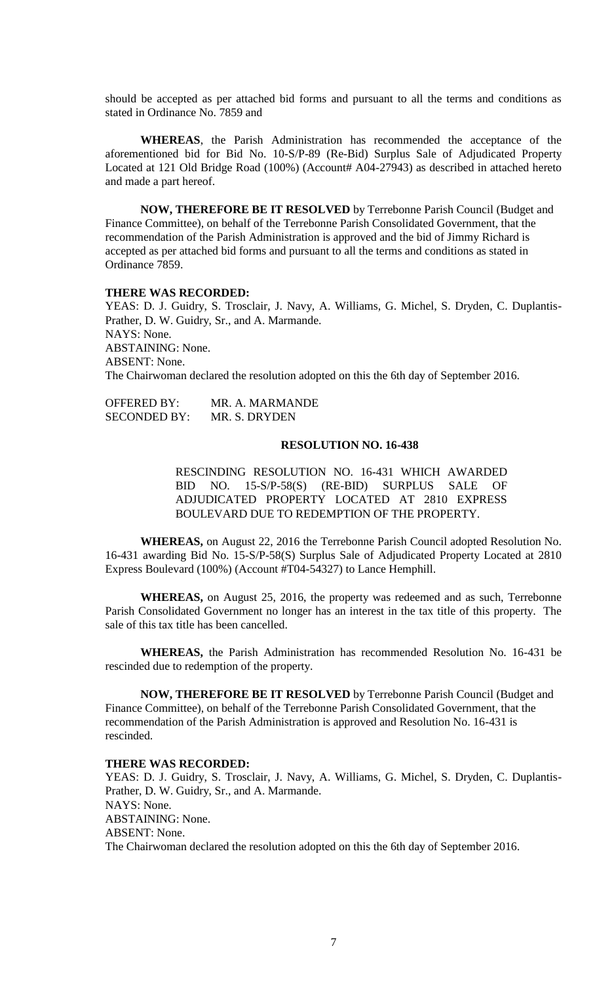should be accepted as per attached bid forms and pursuant to all the terms and conditions as stated in Ordinance No. 7859 and

**WHEREAS**, the Parish Administration has recommended the acceptance of the aforementioned bid for Bid No. 10-S/P-89 (Re-Bid) Surplus Sale of Adjudicated Property Located at 121 Old Bridge Road (100%) (Account# A04-27943) as described in attached hereto and made a part hereof.

**NOW, THEREFORE BE IT RESOLVED** by Terrebonne Parish Council (Budget and Finance Committee), on behalf of the Terrebonne Parish Consolidated Government, that the recommendation of the Parish Administration is approved and the bid of Jimmy Richard is accepted as per attached bid forms and pursuant to all the terms and conditions as stated in Ordinance 7859.

#### **THERE WAS RECORDED:**

YEAS: D. J. Guidry, S. Trosclair, J. Navy, A. Williams, G. Michel, S. Dryden, C. Duplantis-Prather, D. W. Guidry, Sr., and A. Marmande. NAYS: None. ABSTAINING: None. ABSENT: None. The Chairwoman declared the resolution adopted on this the 6th day of September 2016.

OFFERED BY: MR. A. MARMANDE SECONDED BY: MR. S. DRYDEN

## **RESOLUTION NO. 16-438**

RESCINDING RESOLUTION NO. 16-431 WHICH AWARDED BID NO. 15-S/P-58(S) (RE-BID) SURPLUS SALE OF ADJUDICATED PROPERTY LOCATED AT 2810 EXPRESS BOULEVARD DUE TO REDEMPTION OF THE PROPERTY.

**WHEREAS,** on August 22, 2016 the Terrebonne Parish Council adopted Resolution No. 16-431 awarding Bid No. 15-S/P-58(S) Surplus Sale of Adjudicated Property Located at 2810 Express Boulevard (100%) (Account #T04-54327) to Lance Hemphill.

**WHEREAS,** on August 25, 2016, the property was redeemed and as such, Terrebonne Parish Consolidated Government no longer has an interest in the tax title of this property. The sale of this tax title has been cancelled.

**WHEREAS,** the Parish Administration has recommended Resolution No. 16-431 be rescinded due to redemption of the property.

**NOW, THEREFORE BE IT RESOLVED** by Terrebonne Parish Council (Budget and Finance Committee), on behalf of the Terrebonne Parish Consolidated Government, that the recommendation of the Parish Administration is approved and Resolution No. 16-431 is rescinded.

#### **THERE WAS RECORDED:**

YEAS: D. J. Guidry, S. Trosclair, J. Navy, A. Williams, G. Michel, S. Dryden, C. Duplantis-Prather, D. W. Guidry, Sr., and A. Marmande. NAYS: None. ABSTAINING: None. ABSENT: None. The Chairwoman declared the resolution adopted on this the 6th day of September 2016.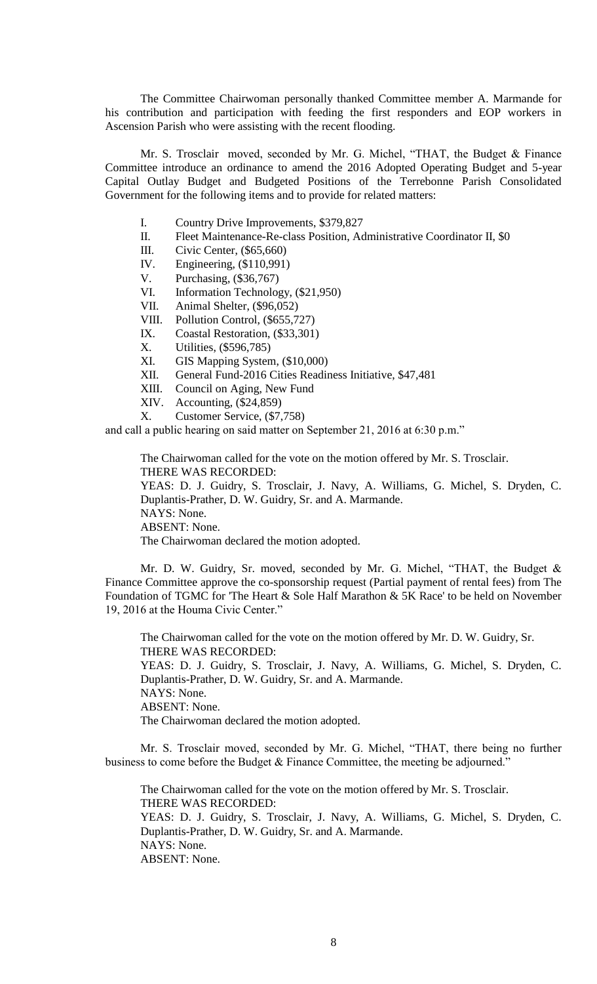The Committee Chairwoman personally thanked Committee member A. Marmande for his contribution and participation with feeding the first responders and EOP workers in Ascension Parish who were assisting with the recent flooding.

Mr. S. Trosclair moved, seconded by Mr. G. Michel, "THAT, the Budget & Finance Committee introduce an ordinance to amend the 2016 Adopted Operating Budget and 5-year Capital Outlay Budget and Budgeted Positions of the Terrebonne Parish Consolidated Government for the following items and to provide for related matters:

- I. Country Drive Improvements, \$379,827
- II. Fleet Maintenance-Re-class Position, Administrative Coordinator II, \$0
- III. Civic Center, (\$65,660)<br>IV. Engineering, (\$110,991)
- Engineering, (\$110,991)
- V. Purchasing, (\$36,767)
- VI. Information Technology, (\$21,950)
- VII. Animal Shelter, (\$96,052)
- VIII. Pollution Control, (\$655,727)
- IX. Coastal Restoration, (\$33,301)
- X. Utilities, (\$596,785)
- XI. GIS Mapping System, (\$10,000)
- XII. General Fund-2016 Cities Readiness Initiative, \$47,481
- XIII. Council on Aging, New Fund
- XIV. Accounting, (\$24,859)
- X. Customer Service, (\$7,758)

and call a public hearing on said matter on September 21, 2016 at 6:30 p.m."

The Chairwoman called for the vote on the motion offered by Mr. S. Trosclair. THERE WAS RECORDED:

YEAS: D. J. Guidry, S. Trosclair, J. Navy, A. Williams, G. Michel, S. Dryden, C. Duplantis-Prather, D. W. Guidry, Sr. and A. Marmande. NAYS: None.

ABSENT: None.

The Chairwoman declared the motion adopted.

Mr. D. W. Guidry, Sr. moved, seconded by Mr. G. Michel, "THAT, the Budget & Finance Committee approve the co-sponsorship request (Partial payment of rental fees) from The Foundation of TGMC for 'The Heart & Sole Half Marathon & 5K Race' to be held on November 19, 2016 at the Houma Civic Center."

The Chairwoman called for the vote on the motion offered by Mr. D. W. Guidry, Sr. THERE WAS RECORDED: YEAS: D. J. Guidry, S. Trosclair, J. Navy, A. Williams, G. Michel, S. Dryden, C. Duplantis-Prather, D. W. Guidry, Sr. and A. Marmande. NAYS: None. ABSENT: None. The Chairwoman declared the motion adopted.

Mr. S. Trosclair moved, seconded by Mr. G. Michel, "THAT, there being no further business to come before the Budget & Finance Committee, the meeting be adjourned."

The Chairwoman called for the vote on the motion offered by Mr. S. Trosclair. THERE WAS RECORDED: YEAS: D. J. Guidry, S. Trosclair, J. Navy, A. Williams, G. Michel, S. Dryden, C. Duplantis-Prather, D. W. Guidry, Sr. and A. Marmande. NAYS: None. ABSENT: None.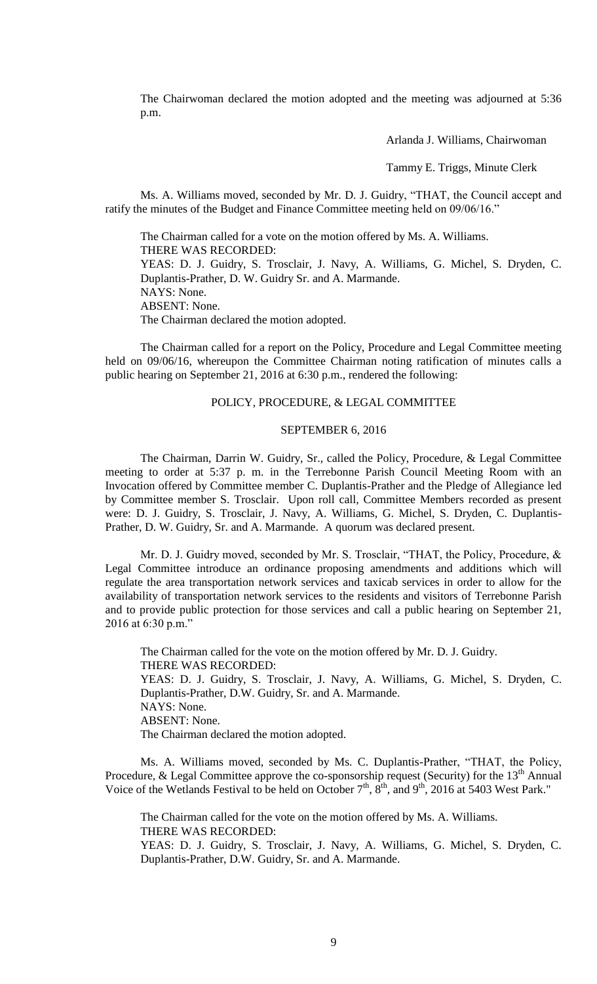The Chairwoman declared the motion adopted and the meeting was adjourned at 5:36 p.m.

Arlanda J. Williams, Chairwoman

Tammy E. Triggs, Minute Clerk

Ms. A. Williams moved, seconded by Mr. D. J. Guidry, "THAT, the Council accept and ratify the minutes of the Budget and Finance Committee meeting held on 09/06/16."

The Chairman called for a vote on the motion offered by Ms. A. Williams. THERE WAS RECORDED: YEAS: D. J. Guidry, S. Trosclair, J. Navy, A. Williams, G. Michel, S. Dryden, C. Duplantis-Prather, D. W. Guidry Sr. and A. Marmande. NAYS: None. ABSENT: None. The Chairman declared the motion adopted.

The Chairman called for a report on the Policy, Procedure and Legal Committee meeting held on 09/06/16, whereupon the Committee Chairman noting ratification of minutes calls a public hearing on September 21, 2016 at 6:30 p.m., rendered the following:

#### POLICY, PROCEDURE, & LEGAL COMMITTEE

#### SEPTEMBER 6, 2016

The Chairman, Darrin W. Guidry, Sr., called the Policy, Procedure, & Legal Committee meeting to order at 5:37 p. m. in the Terrebonne Parish Council Meeting Room with an Invocation offered by Committee member C. Duplantis-Prather and the Pledge of Allegiance led by Committee member S. Trosclair. Upon roll call, Committee Members recorded as present were: D. J. Guidry, S. Trosclair, J. Navy, A. Williams, G. Michel, S. Dryden, C. Duplantis-Prather, D. W. Guidry, Sr. and A. Marmande. A quorum was declared present.

Mr. D. J. Guidry moved, seconded by Mr. S. Trosclair, "THAT, the Policy, Procedure, & Legal Committee introduce an ordinance proposing amendments and additions which will regulate the area transportation network services and taxicab services in order to allow for the availability of transportation network services to the residents and visitors of Terrebonne Parish and to provide public protection for those services and call a public hearing on September 21, 2016 at 6:30 p.m."

The Chairman called for the vote on the motion offered by Mr. D. J. Guidry. THERE WAS RECORDED: YEAS: D. J. Guidry, S. Trosclair, J. Navy, A. Williams, G. Michel, S. Dryden, C. Duplantis-Prather, D.W. Guidry, Sr. and A. Marmande. NAYS: None. ABSENT: None. The Chairman declared the motion adopted.

Ms. A. Williams moved, seconded by Ms. C. Duplantis-Prather, "THAT, the Policy, Procedure, & Legal Committee approve the co-sponsorship request (Security) for the  $13<sup>th</sup>$  Annual Voice of the Wetlands Festival to be held on October  $7<sup>th</sup>$ ,  $8<sup>th</sup>$ , and  $9<sup>th</sup>$ , 2016 at 5403 West Park."

The Chairman called for the vote on the motion offered by Ms. A. Williams. THERE WAS RECORDED: YEAS: D. J. Guidry, S. Trosclair, J. Navy, A. Williams, G. Michel, S. Dryden, C. Duplantis-Prather, D.W. Guidry, Sr. and A. Marmande.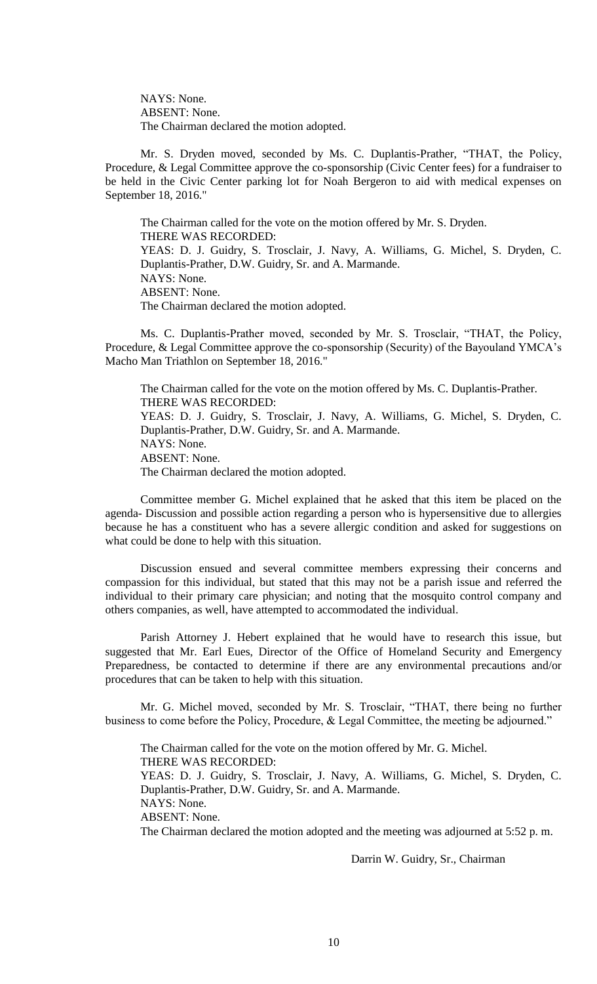NAYS: None. ABSENT: None. The Chairman declared the motion adopted.

Mr. S. Dryden moved, seconded by Ms. C. Duplantis-Prather, "THAT, the Policy, Procedure, & Legal Committee approve the co-sponsorship (Civic Center fees) for a fundraiser to be held in the Civic Center parking lot for Noah Bergeron to aid with medical expenses on September 18, 2016."

The Chairman called for the vote on the motion offered by Mr. S. Dryden. THERE WAS RECORDED: YEAS: D. J. Guidry, S. Trosclair, J. Navy, A. Williams, G. Michel, S. Dryden, C. Duplantis-Prather, D.W. Guidry, Sr. and A. Marmande. NAYS: None. ABSENT: None. The Chairman declared the motion adopted.

Ms. C. Duplantis-Prather moved, seconded by Mr. S. Trosclair, "THAT, the Policy, Procedure, & Legal Committee approve the co-sponsorship (Security) of the Bayouland YMCA's Macho Man Triathlon on September 18, 2016."

The Chairman called for the vote on the motion offered by Ms. C. Duplantis-Prather. THERE WAS RECORDED: YEAS: D. J. Guidry, S. Trosclair, J. Navy, A. Williams, G. Michel, S. Dryden, C. Duplantis-Prather, D.W. Guidry, Sr. and A. Marmande. NAYS: None. ABSENT: None. The Chairman declared the motion adopted.

Committee member G. Michel explained that he asked that this item be placed on the agenda- Discussion and possible action regarding a person who is hypersensitive due to allergies because he has a constituent who has a severe allergic condition and asked for suggestions on what could be done to help with this situation.

Discussion ensued and several committee members expressing their concerns and compassion for this individual, but stated that this may not be a parish issue and referred the individual to their primary care physician; and noting that the mosquito control company and others companies, as well, have attempted to accommodated the individual.

Parish Attorney J. Hebert explained that he would have to research this issue, but suggested that Mr. Earl Eues, Director of the Office of Homeland Security and Emergency Preparedness, be contacted to determine if there are any environmental precautions and/or procedures that can be taken to help with this situation.

Mr. G. Michel moved, seconded by Mr. S. Trosclair, "THAT, there being no further business to come before the Policy, Procedure, & Legal Committee, the meeting be adjourned."

The Chairman called for the vote on the motion offered by Mr. G. Michel. THERE WAS RECORDED: YEAS: D. J. Guidry, S. Trosclair, J. Navy, A. Williams, G. Michel, S. Dryden, C. Duplantis-Prather, D.W. Guidry, Sr. and A. Marmande. NAYS: None. ABSENT: None. The Chairman declared the motion adopted and the meeting was adjourned at 5:52 p. m.

Darrin W. Guidry, Sr., Chairman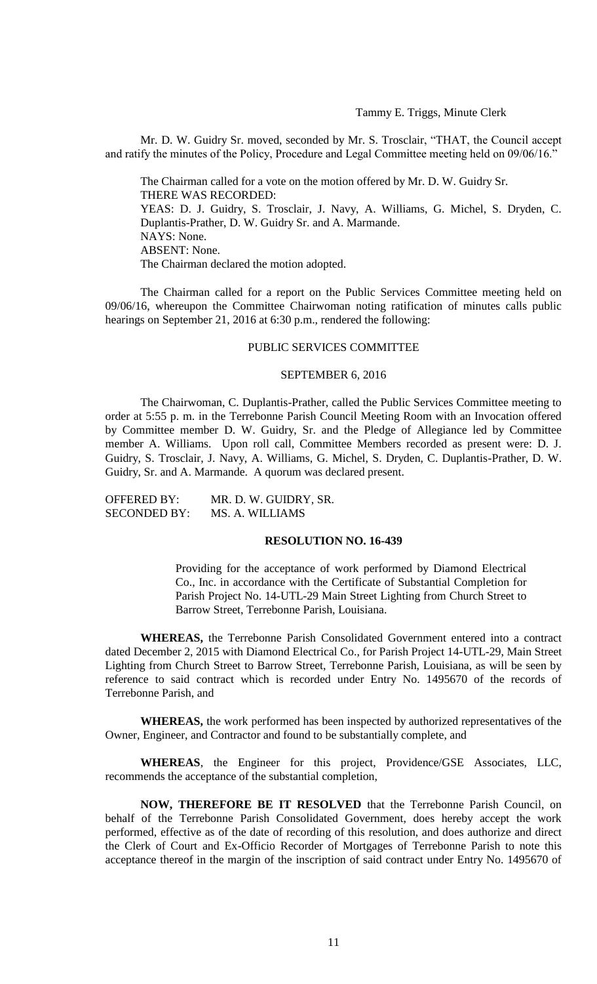# Tammy E. Triggs, Minute Clerk

Mr. D. W. Guidry Sr. moved, seconded by Mr. S. Trosclair, "THAT, the Council accept and ratify the minutes of the Policy, Procedure and Legal Committee meeting held on 09/06/16."

The Chairman called for a vote on the motion offered by Mr. D. W. Guidry Sr. THERE WAS RECORDED: YEAS: D. J. Guidry, S. Trosclair, J. Navy, A. Williams, G. Michel, S. Dryden, C. Duplantis-Prather, D. W. Guidry Sr. and A. Marmande. NAYS: None. ABSENT: None. The Chairman declared the motion adopted.

The Chairman called for a report on the Public Services Committee meeting held on 09/06/16, whereupon the Committee Chairwoman noting ratification of minutes calls public hearings on September 21, 2016 at 6:30 p.m., rendered the following:

#### PUBLIC SERVICES COMMITTEE

### SEPTEMBER 6, 2016

The Chairwoman, C. Duplantis-Prather, called the Public Services Committee meeting to order at 5:55 p. m. in the Terrebonne Parish Council Meeting Room with an Invocation offered by Committee member D. W. Guidry, Sr. and the Pledge of Allegiance led by Committee member A. Williams. Upon roll call, Committee Members recorded as present were: D. J. Guidry, S. Trosclair, J. Navy, A. Williams, G. Michel, S. Dryden, C. Duplantis-Prather, D. W. Guidry, Sr. and A. Marmande. A quorum was declared present.

OFFERED BY: MR. D. W. GUIDRY, SR. SECONDED BY: MS. A. WILLIAMS

### **RESOLUTION NO. 16-439**

Providing for the acceptance of work performed by Diamond Electrical Co., Inc. in accordance with the Certificate of Substantial Completion for Parish Project No. 14-UTL-29 Main Street Lighting from Church Street to Barrow Street, Terrebonne Parish, Louisiana.

**WHEREAS,** the Terrebonne Parish Consolidated Government entered into a contract dated December 2, 2015 with Diamond Electrical Co., for Parish Project 14-UTL-29, Main Street Lighting from Church Street to Barrow Street, Terrebonne Parish, Louisiana, as will be seen by reference to said contract which is recorded under Entry No. 1495670 of the records of Terrebonne Parish, and

**WHEREAS,** the work performed has been inspected by authorized representatives of the Owner, Engineer, and Contractor and found to be substantially complete, and

**WHEREAS**, the Engineer for this project, Providence/GSE Associates, LLC, recommends the acceptance of the substantial completion,

**NOW, THEREFORE BE IT RESOLVED** that the Terrebonne Parish Council, on behalf of the Terrebonne Parish Consolidated Government, does hereby accept the work performed, effective as of the date of recording of this resolution, and does authorize and direct the Clerk of Court and Ex-Officio Recorder of Mortgages of Terrebonne Parish to note this acceptance thereof in the margin of the inscription of said contract under Entry No. 1495670 of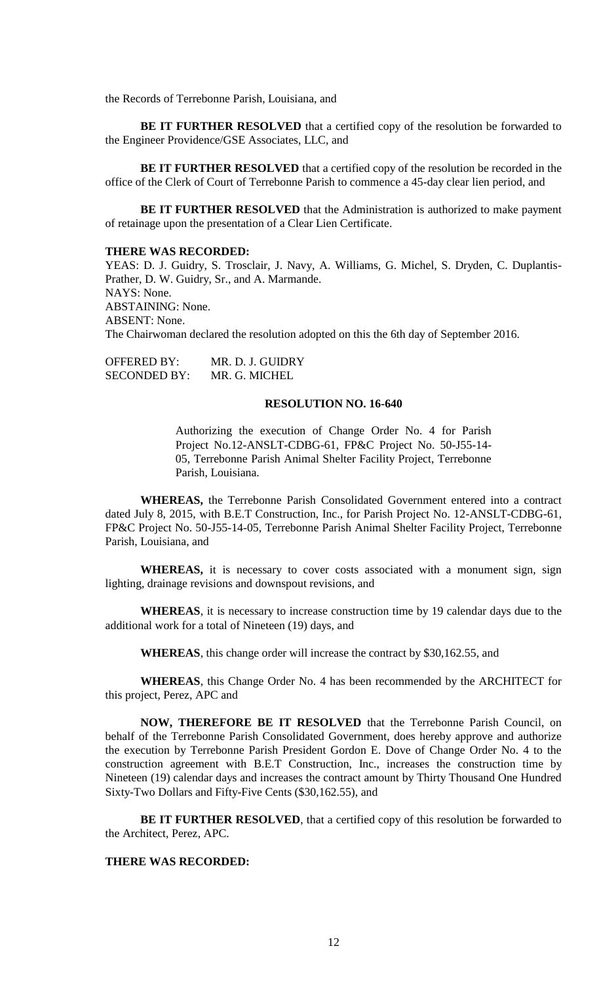the Records of Terrebonne Parish, Louisiana, and

**BE IT FURTHER RESOLVED** that a certified copy of the resolution be forwarded to the Engineer Providence/GSE Associates, LLC, and

**BE IT FURTHER RESOLVED** that a certified copy of the resolution be recorded in the office of the Clerk of Court of Terrebonne Parish to commence a 45-day clear lien period, and

**BE IT FURTHER RESOLVED** that the Administration is authorized to make payment of retainage upon the presentation of a Clear Lien Certificate.

#### **THERE WAS RECORDED:**

YEAS: D. J. Guidry, S. Trosclair, J. Navy, A. Williams, G. Michel, S. Dryden, C. Duplantis-Prather, D. W. Guidry, Sr., and A. Marmande. NAYS: None. ABSTAINING: None. ABSENT: None. The Chairwoman declared the resolution adopted on this the 6th day of September 2016.

OFFERED BY: MR. D. J. GUIDRY SECONDED BY: MR. G. MICHEL

#### **RESOLUTION NO. 16-640**

Authorizing the execution of Change Order No. 4 for Parish Project No.12-ANSLT-CDBG-61, FP&C Project No. 50-J55-14- 05, Terrebonne Parish Animal Shelter Facility Project, Terrebonne Parish, Louisiana.

**WHEREAS,** the Terrebonne Parish Consolidated Government entered into a contract dated July 8, 2015, with B.E.T Construction, Inc., for Parish Project No. 12-ANSLT-CDBG-61, FP&C Project No. 50-J55-14-05, Terrebonne Parish Animal Shelter Facility Project, Terrebonne Parish, Louisiana, and

**WHEREAS,** it is necessary to cover costs associated with a monument sign, sign lighting, drainage revisions and downspout revisions, and

**WHEREAS**, it is necessary to increase construction time by 19 calendar days due to the additional work for a total of Nineteen (19) days, and

**WHEREAS**, this change order will increase the contract by \$30,162.55, and

**WHEREAS**, this Change Order No. 4 has been recommended by the ARCHITECT for this project, Perez, APC and

**NOW, THEREFORE BE IT RESOLVED** that the Terrebonne Parish Council, on behalf of the Terrebonne Parish Consolidated Government, does hereby approve and authorize the execution by Terrebonne Parish President Gordon E. Dove of Change Order No. 4 to the construction agreement with B.E.T Construction, Inc., increases the construction time by Nineteen (19) calendar days and increases the contract amount by Thirty Thousand One Hundred Sixty-Two Dollars and Fifty-Five Cents (\$30,162.55), and

**BE IT FURTHER RESOLVED**, that a certified copy of this resolution be forwarded to the Architect, Perez, APC.

# **THERE WAS RECORDED:**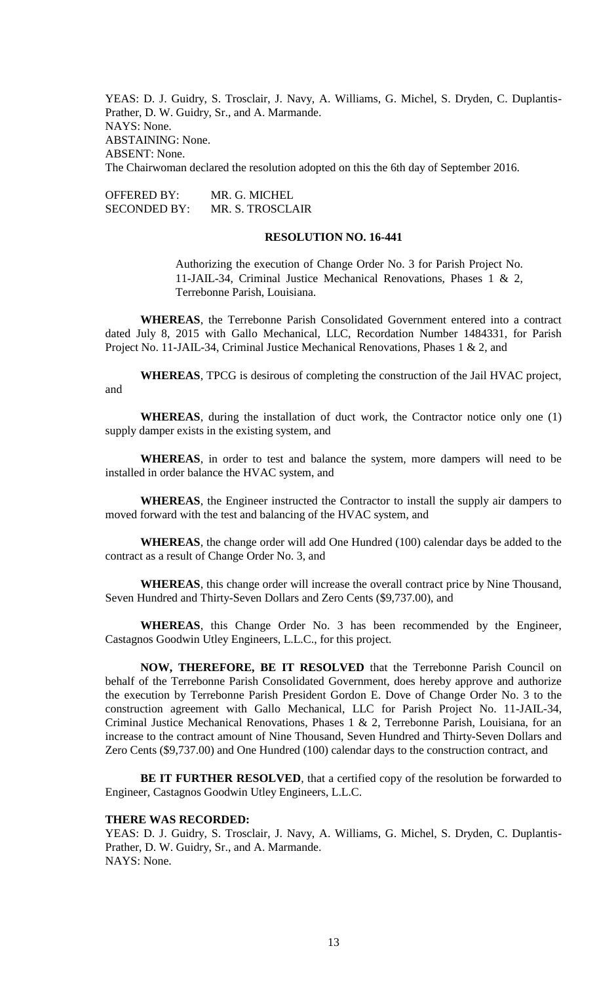YEAS: D. J. Guidry, S. Trosclair, J. Navy, A. Williams, G. Michel, S. Dryden, C. Duplantis-Prather, D. W. Guidry, Sr., and A. Marmande. NAYS: None. ABSTAINING: None. ABSENT: None. The Chairwoman declared the resolution adopted on this the 6th day of September 2016.

OFFERED BY: MR. G. MICHEL SECONDED BY: MR. S. TROSCLAIR

# **RESOLUTION NO. 16-441**

Authorizing the execution of Change Order No. 3 for Parish Project No. 11-JAIL-34, Criminal Justice Mechanical Renovations, Phases 1 & 2, Terrebonne Parish, Louisiana.

**WHEREAS**, the Terrebonne Parish Consolidated Government entered into a contract dated July 8, 2015 with Gallo Mechanical, LLC, Recordation Number 1484331, for Parish Project No. 11-JAIL-34, Criminal Justice Mechanical Renovations, Phases 1 & 2, and

**WHEREAS**, TPCG is desirous of completing the construction of the Jail HVAC project, and

**WHEREAS**, during the installation of duct work, the Contractor notice only one (1) supply damper exists in the existing system, and

**WHEREAS**, in order to test and balance the system, more dampers will need to be installed in order balance the HVAC system, and

**WHEREAS**, the Engineer instructed the Contractor to install the supply air dampers to moved forward with the test and balancing of the HVAC system, and

**WHEREAS**, the change order will add One Hundred (100) calendar days be added to the contract as a result of Change Order No. 3, and

**WHEREAS**, this change order will increase the overall contract price by Nine Thousand, Seven Hundred and Thirty-Seven Dollars and Zero Cents (\$9,737.00), and

**WHEREAS**, this Change Order No. 3 has been recommended by the Engineer, Castagnos Goodwin Utley Engineers, L.L.C., for this project.

**NOW, THEREFORE, BE IT RESOLVED** that the Terrebonne Parish Council on behalf of the Terrebonne Parish Consolidated Government, does hereby approve and authorize the execution by Terrebonne Parish President Gordon E. Dove of Change Order No. 3 to the construction agreement with Gallo Mechanical, LLC for Parish Project No. 11-JAIL-34, Criminal Justice Mechanical Renovations, Phases 1 & 2, Terrebonne Parish, Louisiana, for an increase to the contract amount of Nine Thousand, Seven Hundred and Thirty-Seven Dollars and Zero Cents (\$9,737.00) and One Hundred (100) calendar days to the construction contract, and

BE IT FURTHER RESOLVED, that a certified copy of the resolution be forwarded to Engineer, Castagnos Goodwin Utley Engineers, L.L.C.

#### **THERE WAS RECORDED:**

YEAS: D. J. Guidry, S. Trosclair, J. Navy, A. Williams, G. Michel, S. Dryden, C. Duplantis-Prather, D. W. Guidry, Sr., and A. Marmande. NAYS: None.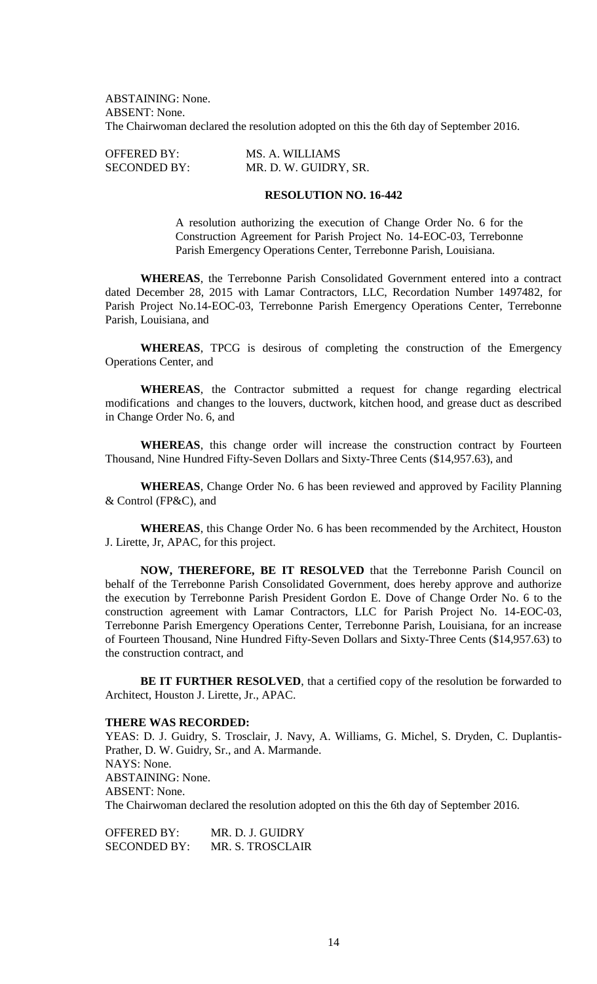ABSTAINING: None. ABSENT: None. The Chairwoman declared the resolution adopted on this the 6th day of September 2016.

OFFERED BY: MS. A. WILLIAMS SECONDED BY: MR. D. W. GUIDRY, SR.

# **RESOLUTION NO. 16-442**

A resolution authorizing the execution of Change Order No. 6 for the Construction Agreement for Parish Project No. 14-EOC-03, Terrebonne Parish Emergency Operations Center, Terrebonne Parish, Louisiana.

**WHEREAS**, the Terrebonne Parish Consolidated Government entered into a contract dated December 28, 2015 with Lamar Contractors, LLC, Recordation Number 1497482, for Parish Project No.14-EOC-03, Terrebonne Parish Emergency Operations Center, Terrebonne Parish, Louisiana, and

**WHEREAS**, TPCG is desirous of completing the construction of the Emergency Operations Center, and

**WHEREAS**, the Contractor submitted a request for change regarding electrical modifications and changes to the louvers, ductwork, kitchen hood, and grease duct as described in Change Order No. 6, and

WHEREAS, this change order will increase the construction contract by Fourteen Thousand, Nine Hundred Fifty-Seven Dollars and Sixty-Three Cents (\$14,957.63), and

**WHEREAS**, Change Order No. 6 has been reviewed and approved by Facility Planning & Control (FP&C), and

**WHEREAS**, this Change Order No. 6 has been recommended by the Architect, Houston J. Lirette, Jr, APAC, for this project.

**NOW, THEREFORE, BE IT RESOLVED** that the Terrebonne Parish Council on behalf of the Terrebonne Parish Consolidated Government, does hereby approve and authorize the execution by Terrebonne Parish President Gordon E. Dove of Change Order No. 6 to the construction agreement with Lamar Contractors, LLC for Parish Project No. 14-EOC-03, Terrebonne Parish Emergency Operations Center, Terrebonne Parish, Louisiana, for an increase of Fourteen Thousand, Nine Hundred Fifty-Seven Dollars and Sixty-Three Cents (\$14,957.63) to the construction contract, and

**BE IT FURTHER RESOLVED**, that a certified copy of the resolution be forwarded to Architect, Houston J. Lirette, Jr., APAC.

## **THERE WAS RECORDED:**

YEAS: D. J. Guidry, S. Trosclair, J. Navy, A. Williams, G. Michel, S. Dryden, C. Duplantis-Prather, D. W. Guidry, Sr., and A. Marmande. NAYS: None. ABSTAINING: None. ABSENT: None. The Chairwoman declared the resolution adopted on this the 6th day of September 2016.

OFFERED BY: MR. D. J. GUIDRY SECONDED BY: MR. S. TROSCLAIR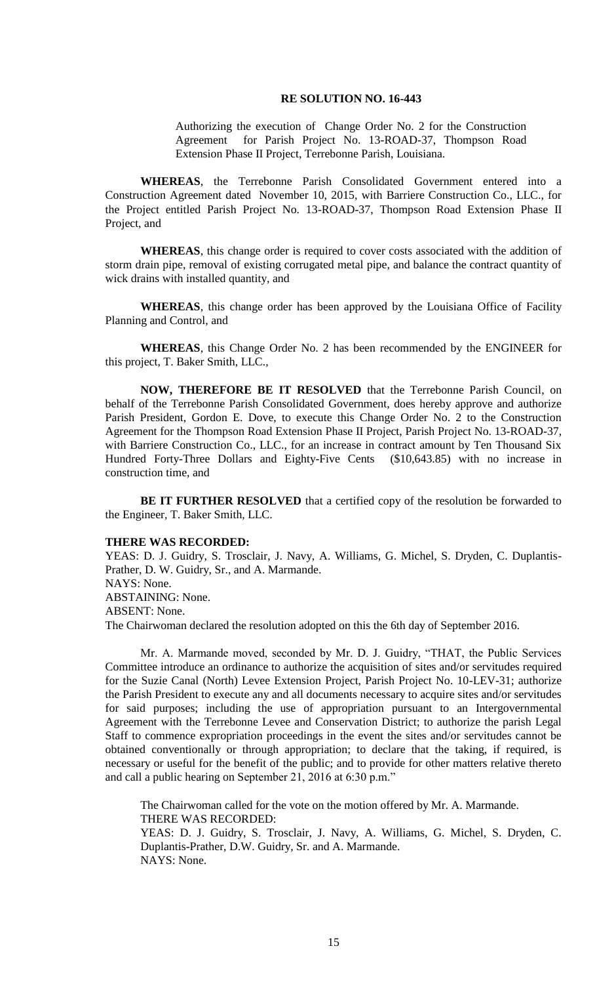### **RE SOLUTION NO. 16-443**

Authorizing the execution of Change Order No. 2 for the Construction Agreement for Parish Project No. 13-ROAD-37, Thompson Road Extension Phase II Project, Terrebonne Parish, Louisiana.

**WHEREAS**, the Terrebonne Parish Consolidated Government entered into a Construction Agreement dated November 10, 2015, with Barriere Construction Co., LLC., for the Project entitled Parish Project No. 13-ROAD-37, Thompson Road Extension Phase II Project, and

**WHEREAS**, this change order is required to cover costs associated with the addition of storm drain pipe, removal of existing corrugated metal pipe, and balance the contract quantity of wick drains with installed quantity, and

**WHEREAS**, this change order has been approved by the Louisiana Office of Facility Planning and Control, and

**WHEREAS**, this Change Order No. 2 has been recommended by the ENGINEER for this project, T. Baker Smith, LLC.,

**NOW, THEREFORE BE IT RESOLVED** that the Terrebonne Parish Council, on behalf of the Terrebonne Parish Consolidated Government, does hereby approve and authorize Parish President, Gordon E. Dove, to execute this Change Order No. 2 to the Construction Agreement for the Thompson Road Extension Phase II Project, Parish Project No. 13-ROAD-37, with Barriere Construction Co., LLC., for an increase in contract amount by Ten Thousand Six Hundred Forty-Three Dollars and Eighty-Five Cents (\$10,643.85) with no increase in construction time, and

**BE IT FURTHER RESOLVED** that a certified copy of the resolution be forwarded to the Engineer, T. Baker Smith, LLC.

## **THERE WAS RECORDED:**

YEAS: D. J. Guidry, S. Trosclair, J. Navy, A. Williams, G. Michel, S. Dryden, C. Duplantis-Prather, D. W. Guidry, Sr., and A. Marmande.

NAYS: None.

ABSTAINING: None.

ABSENT: None.

The Chairwoman declared the resolution adopted on this the 6th day of September 2016.

Mr. A. Marmande moved, seconded by Mr. D. J. Guidry, "THAT, the Public Services Committee introduce an ordinance to authorize the acquisition of sites and/or servitudes required for the Suzie Canal (North) Levee Extension Project, Parish Project No. 10-LEV-31; authorize the Parish President to execute any and all documents necessary to acquire sites and/or servitudes for said purposes; including the use of appropriation pursuant to an Intergovernmental Agreement with the Terrebonne Levee and Conservation District; to authorize the parish Legal Staff to commence expropriation proceedings in the event the sites and/or servitudes cannot be obtained conventionally or through appropriation; to declare that the taking, if required, is necessary or useful for the benefit of the public; and to provide for other matters relative thereto and call a public hearing on September 21, 2016 at 6:30 p.m."

The Chairwoman called for the vote on the motion offered by Mr. A. Marmande. THERE WAS RECORDED:

YEAS: D. J. Guidry, S. Trosclair, J. Navy, A. Williams, G. Michel, S. Dryden, C. Duplantis-Prather, D.W. Guidry, Sr. and A. Marmande. NAYS: None.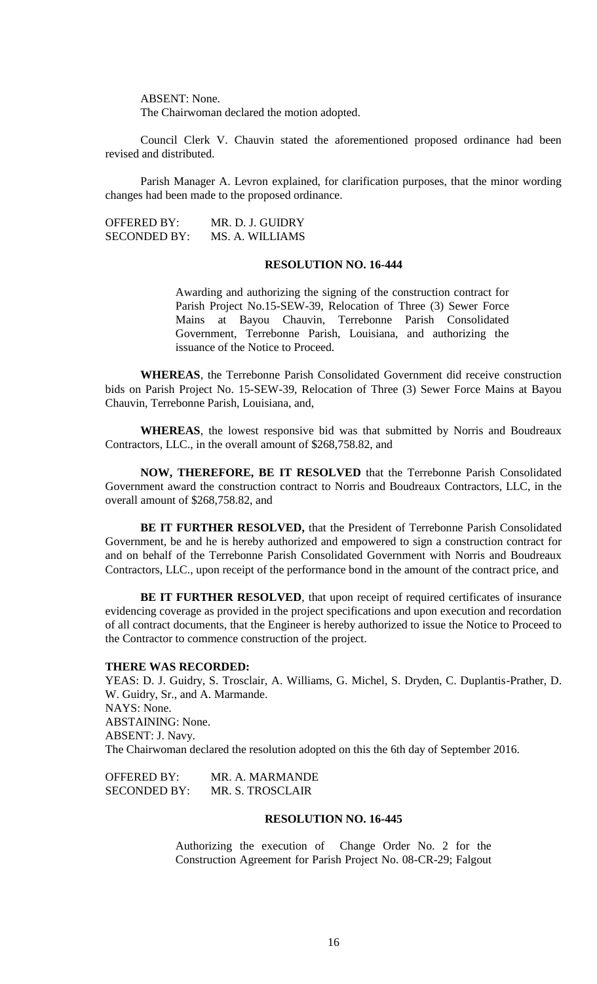ABSENT: None.

The Chairwoman declared the motion adopted.

Council Clerk V. Chauvin stated the aforementioned proposed ordinance had been revised and distributed.

Parish Manager A. Levron explained, for clarification purposes, that the minor wording changes had been made to the proposed ordinance.

OFFERED BY: MR. D. J. GUIDRY SECONDED BY: MS. A. WILLIAMS

# **RESOLUTION NO. 16-444**

Awarding and authorizing the signing of the construction contract for Parish Project No.15-SEW-39, Relocation of Three (3) Sewer Force Mains at Bayou Chauvin, Terrebonne Parish Consolidated Government, Terrebonne Parish, Louisiana, and authorizing the issuance of the Notice to Proceed.

**WHEREAS**, the Terrebonne Parish Consolidated Government did receive construction bids on Parish Project No. 15-SEW-39, Relocation of Three (3) Sewer Force Mains at Bayou Chauvin, Terrebonne Parish, Louisiana, and,

**WHEREAS**, the lowest responsive bid was that submitted by Norris and Boudreaux Contractors, LLC., in the overall amount of \$268,758.82, and

**NOW, THEREFORE, BE IT RESOLVED** that the Terrebonne Parish Consolidated Government award the construction contract to Norris and Boudreaux Contractors, LLC, in the overall amount of \$268,758.82, and

**BE IT FURTHER RESOLVED,** that the President of Terrebonne Parish Consolidated Government, be and he is hereby authorized and empowered to sign a construction contract for and on behalf of the Terrebonne Parish Consolidated Government with Norris and Boudreaux Contractors, LLC., upon receipt of the performance bond in the amount of the contract price, and

BE IT FURTHER RESOLVED, that upon receipt of required certificates of insurance evidencing coverage as provided in the project specifications and upon execution and recordation of all contract documents, that the Engineer is hereby authorized to issue the Notice to Proceed to the Contractor to commence construction of the project.

### **THERE WAS RECORDED:**

YEAS: D. J. Guidry, S. Trosclair, A. Williams, G. Michel, S. Dryden, C. Duplantis-Prather, D. W. Guidry, Sr., and A. Marmande. NAYS: None. ABSTAINING: None. ABSENT: J. Navy. The Chairwoman declared the resolution adopted on this the 6th day of September 2016.

OFFERED BY: MR. A. MARMANDE SECONDED BY: MR. S. TROSCLAIR

### **RESOLUTION NO. 16-445**

Authorizing the execution of Change Order No. 2 for the Construction Agreement for Parish Project No. 08-CR-29; Falgout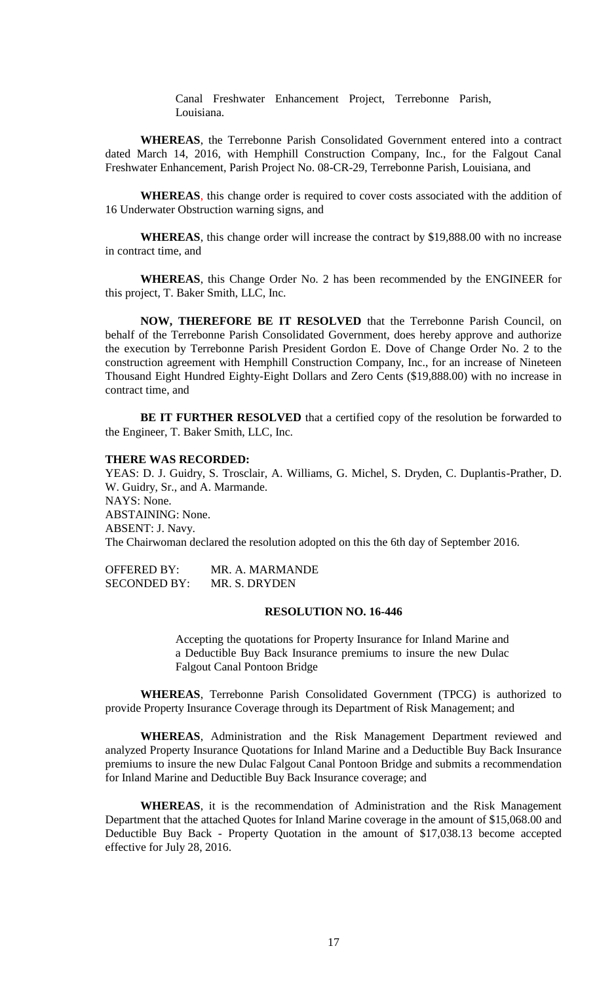Canal Freshwater Enhancement Project, Terrebonne Parish, Louisiana.

**WHEREAS**, the Terrebonne Parish Consolidated Government entered into a contract dated March 14, 2016, with Hemphill Construction Company, Inc., for the Falgout Canal Freshwater Enhancement, Parish Project No. 08-CR-29, Terrebonne Parish, Louisiana, and

**WHEREAS**, this change order is required to cover costs associated with the addition of 16 Underwater Obstruction warning signs, and

**WHEREAS**, this change order will increase the contract by \$19,888.00 with no increase in contract time, and

**WHEREAS**, this Change Order No. 2 has been recommended by the ENGINEER for this project, T. Baker Smith, LLC, Inc.

**NOW, THEREFORE BE IT RESOLVED** that the Terrebonne Parish Council, on behalf of the Terrebonne Parish Consolidated Government, does hereby approve and authorize the execution by Terrebonne Parish President Gordon E. Dove of Change Order No. 2 to the construction agreement with Hemphill Construction Company, Inc., for an increase of Nineteen Thousand Eight Hundred Eighty-Eight Dollars and Zero Cents (\$19,888.00) with no increase in contract time, and

BE IT FURTHER RESOLVED that a certified copy of the resolution be forwarded to the Engineer, T. Baker Smith, LLC, Inc.

### **THERE WAS RECORDED:**

YEAS: D. J. Guidry, S. Trosclair, A. Williams, G. Michel, S. Dryden, C. Duplantis-Prather, D. W. Guidry, Sr., and A. Marmande. NAYS: None. ABSTAINING: None. ABSENT: J. Navy. The Chairwoman declared the resolution adopted on this the 6th day of September 2016.

OFFERED BY: MR. A. MARMANDE SECONDED BY: MR. S. DRYDEN

## **RESOLUTION NO. 16-446**

Accepting the quotations for Property Insurance for Inland Marine and a Deductible Buy Back Insurance premiums to insure the new Dulac Falgout Canal Pontoon Bridge

**WHEREAS**, Terrebonne Parish Consolidated Government (TPCG) is authorized to provide Property Insurance Coverage through its Department of Risk Management; and

**WHEREAS**, Administration and the Risk Management Department reviewed and analyzed Property Insurance Quotations for Inland Marine and a Deductible Buy Back Insurance premiums to insure the new Dulac Falgout Canal Pontoon Bridge and submits a recommendation for Inland Marine and Deductible Buy Back Insurance coverage; and

**WHEREAS**, it is the recommendation of Administration and the Risk Management Department that the attached Quotes for Inland Marine coverage in the amount of \$15,068.00 and Deductible Buy Back - Property Quotation in the amount of \$17,038.13 become accepted effective for July 28, 2016.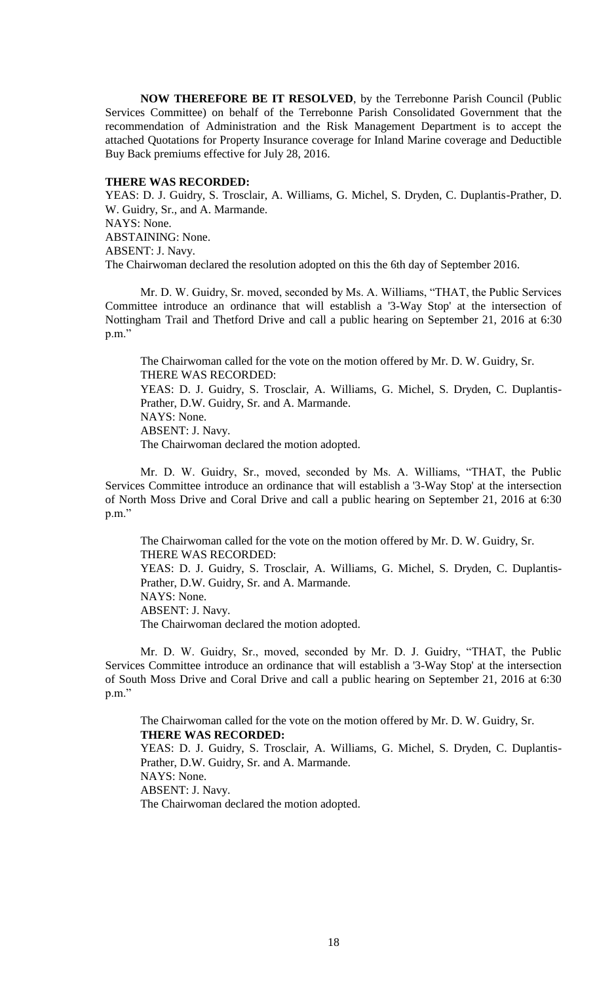**NOW THEREFORE BE IT RESOLVED**, by the Terrebonne Parish Council (Public Services Committee) on behalf of the Terrebonne Parish Consolidated Government that the recommendation of Administration and the Risk Management Department is to accept the attached Quotations for Property Insurance coverage for Inland Marine coverage and Deductible Buy Back premiums effective for July 28, 2016.

## **THERE WAS RECORDED:**

YEAS: D. J. Guidry, S. Trosclair, A. Williams, G. Michel, S. Dryden, C. Duplantis-Prather, D. W. Guidry, Sr., and A. Marmande. NAYS: None. ABSTAINING: None. ABSENT: J. Navy. The Chairwoman declared the resolution adopted on this the 6th day of September 2016.

Mr. D. W. Guidry, Sr. moved, seconded by Ms. A. Williams, "THAT, the Public Services Committee introduce an ordinance that will establish a '3-Way Stop' at the intersection of Nottingham Trail and Thetford Drive and call a public hearing on September 21, 2016 at 6:30 p.m."

The Chairwoman called for the vote on the motion offered by Mr. D. W. Guidry, Sr. THERE WAS RECORDED: YEAS: D. J. Guidry, S. Trosclair, A. Williams, G. Michel, S. Dryden, C. Duplantis-Prather, D.W. Guidry, Sr. and A. Marmande. NAYS: None. ABSENT: J. Navy. The Chairwoman declared the motion adopted.

Mr. D. W. Guidry, Sr., moved, seconded by Ms. A. Williams, "THAT, the Public Services Committee introduce an ordinance that will establish a '3-Way Stop' at the intersection of North Moss Drive and Coral Drive and call a public hearing on September 21, 2016 at 6:30 p.m."

The Chairwoman called for the vote on the motion offered by Mr. D. W. Guidry, Sr. THERE WAS RECORDED:

YEAS: D. J. Guidry, S. Trosclair, A. Williams, G. Michel, S. Dryden, C. Duplantis-Prather, D.W. Guidry, Sr. and A. Marmande.

NAYS: None.

ABSENT: J. Navy.

The Chairwoman declared the motion adopted.

Mr. D. W. Guidry, Sr., moved, seconded by Mr. D. J. Guidry, "THAT, the Public Services Committee introduce an ordinance that will establish a '3-Way Stop' at the intersection of South Moss Drive and Coral Drive and call a public hearing on September 21, 2016 at 6:30 p.m."

The Chairwoman called for the vote on the motion offered by Mr. D. W. Guidry, Sr. **THERE WAS RECORDED:**

YEAS: D. J. Guidry, S. Trosclair, A. Williams, G. Michel, S. Dryden, C. Duplantis-Prather, D.W. Guidry, Sr. and A. Marmande. NAYS: None. ABSENT: J. Navy.

The Chairwoman declared the motion adopted.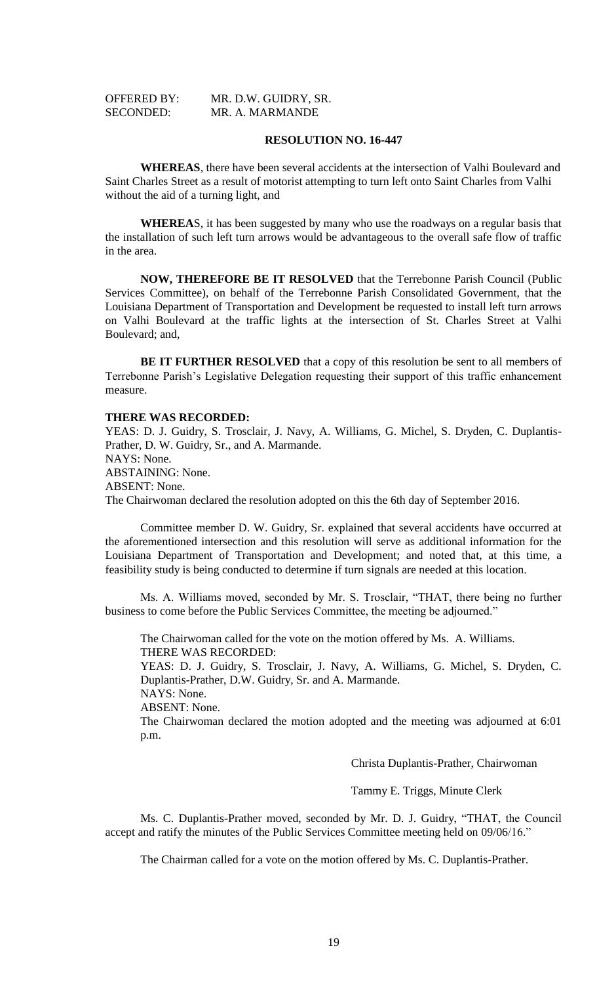| <b>OFFERED BY:</b> | MR. D.W. GUIDRY, SR. |
|--------------------|----------------------|
| <b>SECONDED:</b>   | MR. A. MARMANDE      |

### **RESOLUTION NO. 16-447**

**WHEREAS**, there have been several accidents at the intersection of Valhi Boulevard and Saint Charles Street as a result of motorist attempting to turn left onto Saint Charles from Valhi without the aid of a turning light, and

**WHEREA**S, it has been suggested by many who use the roadways on a regular basis that the installation of such left turn arrows would be advantageous to the overall safe flow of traffic in the area.

**NOW, THEREFORE BE IT RESOLVED** that the Terrebonne Parish Council (Public Services Committee), on behalf of the Terrebonne Parish Consolidated Government, that the Louisiana Department of Transportation and Development be requested to install left turn arrows on Valhi Boulevard at the traffic lights at the intersection of St. Charles Street at Valhi Boulevard; and,

**BE IT FURTHER RESOLVED** that a copy of this resolution be sent to all members of Terrebonne Parish's Legislative Delegation requesting their support of this traffic enhancement measure.

#### **THERE WAS RECORDED:**

YEAS: D. J. Guidry, S. Trosclair, J. Navy, A. Williams, G. Michel, S. Dryden, C. Duplantis-Prather, D. W. Guidry, Sr., and A. Marmande. NAYS: None. ABSTAINING: None. ABSENT: None. The Chairwoman declared the resolution adopted on this the 6th day of September 2016.

Committee member D. W. Guidry, Sr. explained that several accidents have occurred at the aforementioned intersection and this resolution will serve as additional information for the Louisiana Department of Transportation and Development; and noted that, at this time, a feasibility study is being conducted to determine if turn signals are needed at this location.

Ms. A. Williams moved, seconded by Mr. S. Trosclair, "THAT, there being no further business to come before the Public Services Committee, the meeting be adjourned."

The Chairwoman called for the vote on the motion offered by Ms. A. Williams. THERE WAS RECORDED:

YEAS: D. J. Guidry, S. Trosclair, J. Navy, A. Williams, G. Michel, S. Dryden, C. Duplantis-Prather, D.W. Guidry, Sr. and A. Marmande. NAYS: None.

ABSENT: None.

The Chairwoman declared the motion adopted and the meeting was adjourned at 6:01 p.m.

Christa Duplantis-Prather, Chairwoman

Tammy E. Triggs, Minute Clerk

Ms. C. Duplantis-Prather moved, seconded by Mr. D. J. Guidry, "THAT, the Council accept and ratify the minutes of the Public Services Committee meeting held on 09/06/16."

The Chairman called for a vote on the motion offered by Ms. C. Duplantis-Prather.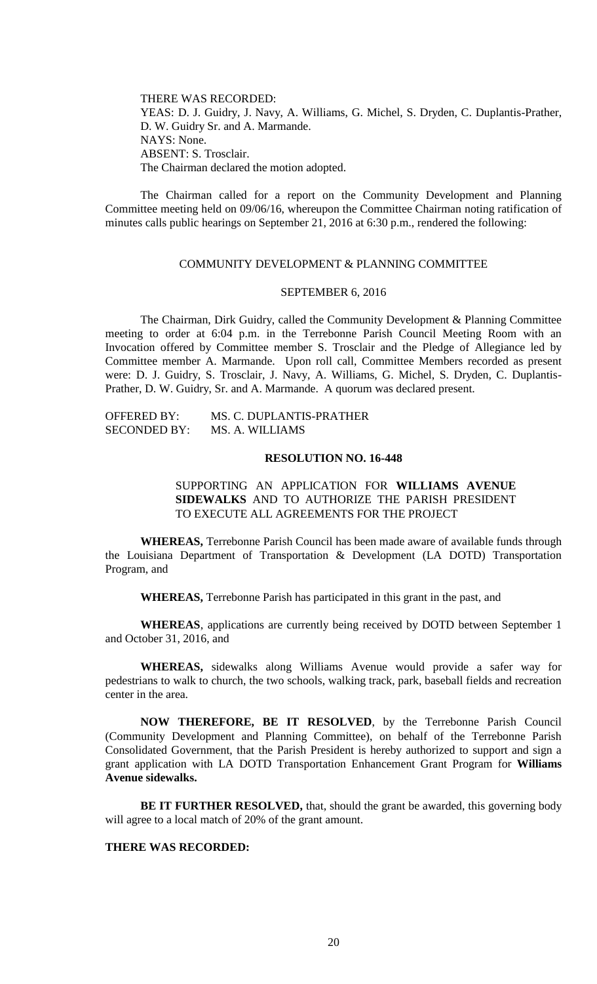THERE WAS RECORDED: YEAS: D. J. Guidry, J. Navy, A. Williams, G. Michel, S. Dryden, C. Duplantis-Prather, D. W. Guidry Sr. and A. Marmande. NAYS: None. ABSENT: S. Trosclair. The Chairman declared the motion adopted.

The Chairman called for a report on the Community Development and Planning Committee meeting held on 09/06/16, whereupon the Committee Chairman noting ratification of minutes calls public hearings on September 21, 2016 at 6:30 p.m., rendered the following:

# COMMUNITY DEVELOPMENT & PLANNING COMMITTEE

#### SEPTEMBER 6, 2016

The Chairman, Dirk Guidry, called the Community Development & Planning Committee meeting to order at 6:04 p.m. in the Terrebonne Parish Council Meeting Room with an Invocation offered by Committee member S. Trosclair and the Pledge of Allegiance led by Committee member A. Marmande. Upon roll call, Committee Members recorded as present were: D. J. Guidry, S. Trosclair, J. Navy, A. Williams, G. Michel, S. Dryden, C. Duplantis-Prather, D. W. Guidry, Sr. and A. Marmande. A quorum was declared present.

| <b>OFFERED BY:</b>  | MS. C. DUPLANTIS-PRATHER |
|---------------------|--------------------------|
| <b>SECONDED BY:</b> | MS. A. WILLIAMS          |

## **RESOLUTION NO. 16-448**

SUPPORTING AN APPLICATION FOR **WILLIAMS AVENUE SIDEWALKS** AND TO AUTHORIZE THE PARISH PRESIDENT TO EXECUTE ALL AGREEMENTS FOR THE PROJECT

**WHEREAS,** Terrebonne Parish Council has been made aware of available funds through the Louisiana Department of Transportation & Development (LA DOTD) Transportation Program, and

**WHEREAS,** Terrebonne Parish has participated in this grant in the past, and

**WHEREAS**, applications are currently being received by DOTD between September 1 and October 31, 2016, and

**WHEREAS,** sidewalks along Williams Avenue would provide a safer way for pedestrians to walk to church, the two schools, walking track, park, baseball fields and recreation center in the area.

**NOW THEREFORE, BE IT RESOLVED**, by the Terrebonne Parish Council (Community Development and Planning Committee), on behalf of the Terrebonne Parish Consolidated Government, that the Parish President is hereby authorized to support and sign a grant application with LA DOTD Transportation Enhancement Grant Program for **Williams Avenue sidewalks.**

**BE IT FURTHER RESOLVED,** that, should the grant be awarded, this governing body will agree to a local match of 20% of the grant amount.

# **THERE WAS RECORDED:**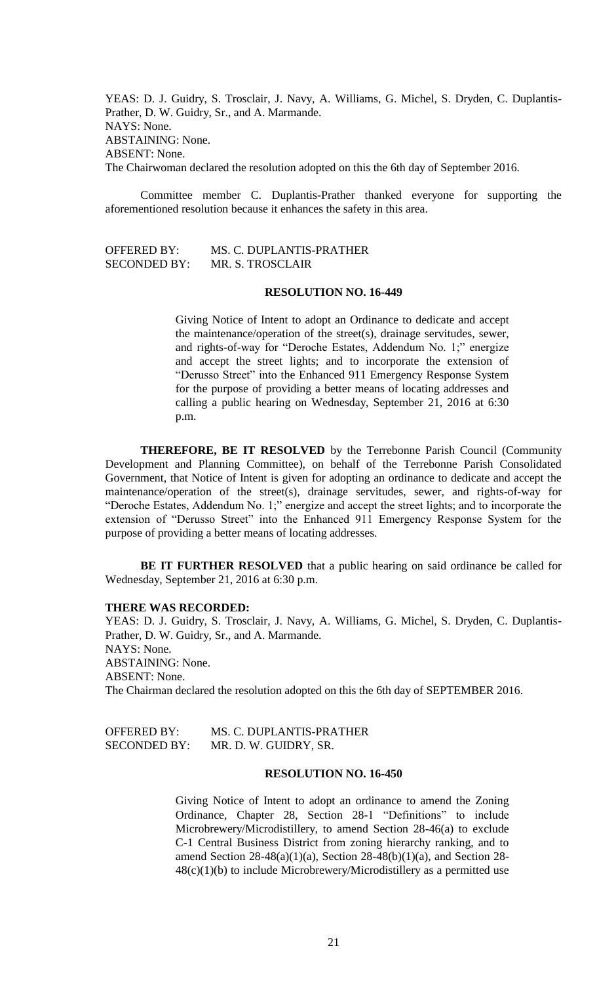YEAS: D. J. Guidry, S. Trosclair, J. Navy, A. Williams, G. Michel, S. Dryden, C. Duplantis-Prather, D. W. Guidry, Sr., and A. Marmande. NAYS: None. ABSTAINING: None. ABSENT: None. The Chairwoman declared the resolution adopted on this the 6th day of September 2016.

Committee member C. Duplantis-Prather thanked everyone for supporting the aforementioned resolution because it enhances the safety in this area.

| <b>OFFERED BY:</b>  | MS. C. DUPLANTIS-PRATHER |
|---------------------|--------------------------|
| <b>SECONDED BY:</b> | MR. S. TROSCLAIR         |

# **RESOLUTION NO. 16-449**

Giving Notice of Intent to adopt an Ordinance to dedicate and accept the maintenance/operation of the street(s), drainage servitudes, sewer, and rights-of-way for "Deroche Estates, Addendum No. 1;" energize and accept the street lights; and to incorporate the extension of "Derusso Street" into the Enhanced 911 Emergency Response System for the purpose of providing a better means of locating addresses and calling a public hearing on Wednesday, September 21, 2016 at 6:30 p.m.

**THEREFORE, BE IT RESOLVED** by the Terrebonne Parish Council (Community Development and Planning Committee), on behalf of the Terrebonne Parish Consolidated Government, that Notice of Intent is given for adopting an ordinance to dedicate and accept the maintenance/operation of the street(s), drainage servitudes, sewer, and rights-of-way for "Deroche Estates, Addendum No. 1;" energize and accept the street lights; and to incorporate the extension of "Derusso Street" into the Enhanced 911 Emergency Response System for the purpose of providing a better means of locating addresses.

**BE IT FURTHER RESOLVED** that a public hearing on said ordinance be called for Wednesday, September 21, 2016 at 6:30 p.m.

#### **THERE WAS RECORDED:**

YEAS: D. J. Guidry, S. Trosclair, J. Navy, A. Williams, G. Michel, S. Dryden, C. Duplantis-Prather, D. W. Guidry, Sr., and A. Marmande. NAYS: None. ABSTAINING: None. ABSENT: None. The Chairman declared the resolution adopted on this the 6th day of SEPTEMBER 2016.

| OFFERED BY:         | MS. C. DUPLANTIS-PRATHER |
|---------------------|--------------------------|
| <b>SECONDED BY:</b> | MR. D. W. GUIDRY, SR.    |

#### **RESOLUTION NO. 16-450**

Giving Notice of Intent to adopt an ordinance to amend the Zoning Ordinance, Chapter 28, Section 28-1 "Definitions" to include Microbrewery/Microdistillery, to amend Section 28-46(a) to exclude C-1 Central Business District from zoning hierarchy ranking, and to amend Section 28-48(a)(1)(a), Section 28-48(b)(1)(a), and Section 28- 48(c)(1)(b) to include Microbrewery/Microdistillery as a permitted use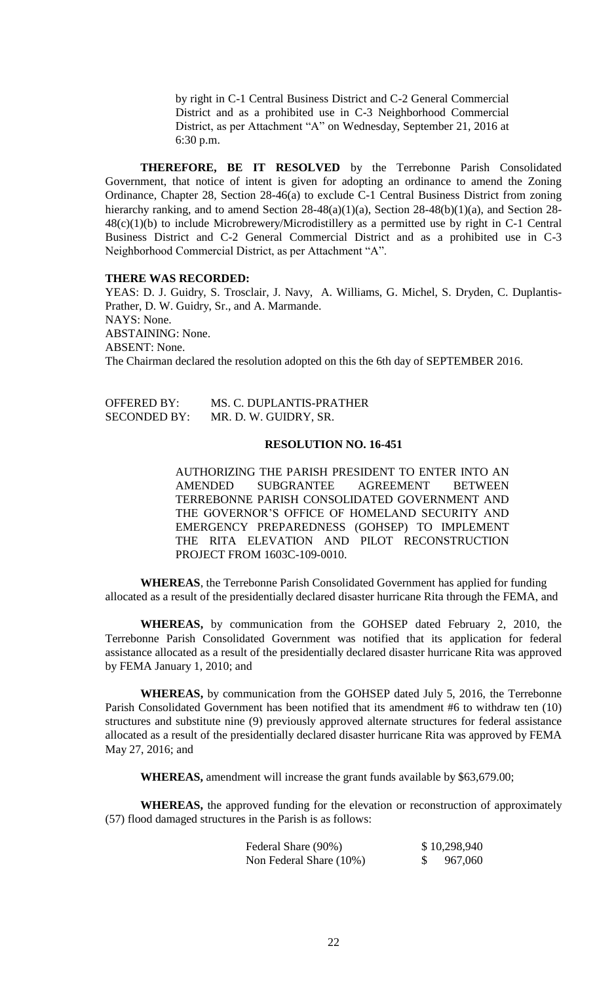by right in C-1 Central Business District and C-2 General Commercial District and as a prohibited use in C-3 Neighborhood Commercial District, as per Attachment "A" on Wednesday, September 21, 2016 at 6:30 p.m.

**THEREFORE, BE IT RESOLVED** by the Terrebonne Parish Consolidated Government, that notice of intent is given for adopting an ordinance to amend the Zoning Ordinance, Chapter 28, Section 28-46(a) to exclude C-1 Central Business District from zoning hierarchy ranking, and to amend Section 28-48(a)(1)(a), Section 28-48(b)(1)(a), and Section 28-48(c)(1)(b) to include Microbrewery/Microdistillery as a permitted use by right in C-1 Central Business District and C-2 General Commercial District and as a prohibited use in C-3 Neighborhood Commercial District, as per Attachment "A".

### **THERE WAS RECORDED:**

YEAS: D. J. Guidry, S. Trosclair, J. Navy, A. Williams, G. Michel, S. Dryden, C. Duplantis-Prather, D. W. Guidry, Sr., and A. Marmande. NAYS: None. ABSTAINING: None. ABSENT: None. The Chairman declared the resolution adopted on this the 6th day of SEPTEMBER 2016.

| <b>OFFERED BY:</b>  | MS. C. DUPLANTIS-PRATHER |
|---------------------|--------------------------|
| <b>SECONDED BY:</b> | MR. D. W. GUIDRY, SR.    |

### **RESOLUTION NO. 16-451**

AUTHORIZING THE PARISH PRESIDENT TO ENTER INTO AN AMENDED SUBGRANTEE AGREEMENT BETWEEN TERREBONNE PARISH CONSOLIDATED GOVERNMENT AND THE GOVERNOR'S OFFICE OF HOMELAND SECURITY AND EMERGENCY PREPAREDNESS (GOHSEP) TO IMPLEMENT THE RITA ELEVATION AND PILOT RECONSTRUCTION PROJECT FROM 1603C-109-0010.

**WHEREAS**, the Terrebonne Parish Consolidated Government has applied for funding allocated as a result of the presidentially declared disaster hurricane Rita through the FEMA, and

**WHEREAS,** by communication from the GOHSEP dated February 2, 2010, the Terrebonne Parish Consolidated Government was notified that its application for federal assistance allocated as a result of the presidentially declared disaster hurricane Rita was approved by FEMA January 1, 2010; and

**WHEREAS,** by communication from the GOHSEP dated July 5, 2016, the Terrebonne Parish Consolidated Government has been notified that its amendment #6 to withdraw ten (10) structures and substitute nine (9) previously approved alternate structures for federal assistance allocated as a result of the presidentially declared disaster hurricane Rita was approved by FEMA May 27, 2016; and

**WHEREAS,** amendment will increase the grant funds available by \$63,679.00;

**WHEREAS,** the approved funding for the elevation or reconstruction of approximately (57) flood damaged structures in the Parish is as follows:

| Federal Share (90%)     | \$10,298,940 |
|-------------------------|--------------|
| Non Federal Share (10%) | 967,060      |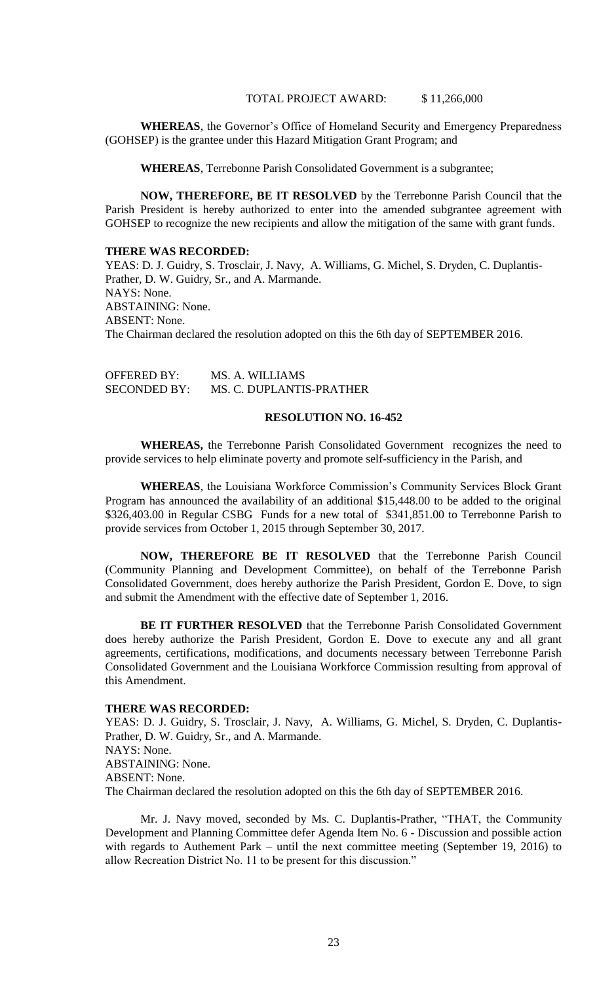### TOTAL PROJECT AWARD: \$11,266,000

**WHEREAS**, the Governor's Office of Homeland Security and Emergency Preparedness (GOHSEP) is the grantee under this Hazard Mitigation Grant Program; and

**WHEREAS**, Terrebonne Parish Consolidated Government is a subgrantee;

**NOW, THEREFORE, BE IT RESOLVED** by the Terrebonne Parish Council that the Parish President is hereby authorized to enter into the amended subgrantee agreement with GOHSEP to recognize the new recipients and allow the mitigation of the same with grant funds.

#### **THERE WAS RECORDED:**

YEAS: D. J. Guidry, S. Trosclair, J. Navy, A. Williams, G. Michel, S. Dryden, C. Duplantis-Prather, D. W. Guidry, Sr., and A. Marmande. NAYS: None. ABSTAINING: None. ABSENT: None. The Chairman declared the resolution adopted on this the 6th day of SEPTEMBER 2016.

| <b>OFFERED BY:</b>  | MS. A. WILLIAMS          |
|---------------------|--------------------------|
| <b>SECONDED BY:</b> | MS. C. DUPLANTIS-PRATHER |

## **RESOLUTION NO. 16-452**

**WHEREAS,** the Terrebonne Parish Consolidated Government recognizes the need to provide services to help eliminate poverty and promote self-sufficiency in the Parish, and

**WHEREAS**, the Louisiana Workforce Commission's Community Services Block Grant Program has announced the availability of an additional \$15,448.00 to be added to the original \$326,403.00 in Regular CSBG Funds for a new total of \$341,851.00 to Terrebonne Parish to provide services from October 1, 2015 through September 30, 2017.

**NOW, THEREFORE BE IT RESOLVED** that the Terrebonne Parish Council (Community Planning and Development Committee), on behalf of the Terrebonne Parish Consolidated Government, does hereby authorize the Parish President, Gordon E. Dove, to sign and submit the Amendment with the effective date of September 1, 2016.

**BE IT FURTHER RESOLVED** that the Terrebonne Parish Consolidated Government does hereby authorize the Parish President, Gordon E. Dove to execute any and all grant agreements, certifications, modifications, and documents necessary between Terrebonne Parish Consolidated Government and the Louisiana Workforce Commission resulting from approval of this Amendment.

## **THERE WAS RECORDED:**

YEAS: D. J. Guidry, S. Trosclair, J. Navy, A. Williams, G. Michel, S. Dryden, C. Duplantis-Prather, D. W. Guidry, Sr., and A. Marmande. NAYS: None. ABSTAINING: None. ABSENT: None. The Chairman declared the resolution adopted on this the 6th day of SEPTEMBER 2016.

Mr. J. Navy moved, seconded by Ms. C. Duplantis-Prather, "THAT, the Community Development and Planning Committee defer Agenda Item No. 6 - Discussion and possible action with regards to Authement Park – until the next committee meeting (September 19, 2016) to allow Recreation District No. 11 to be present for this discussion."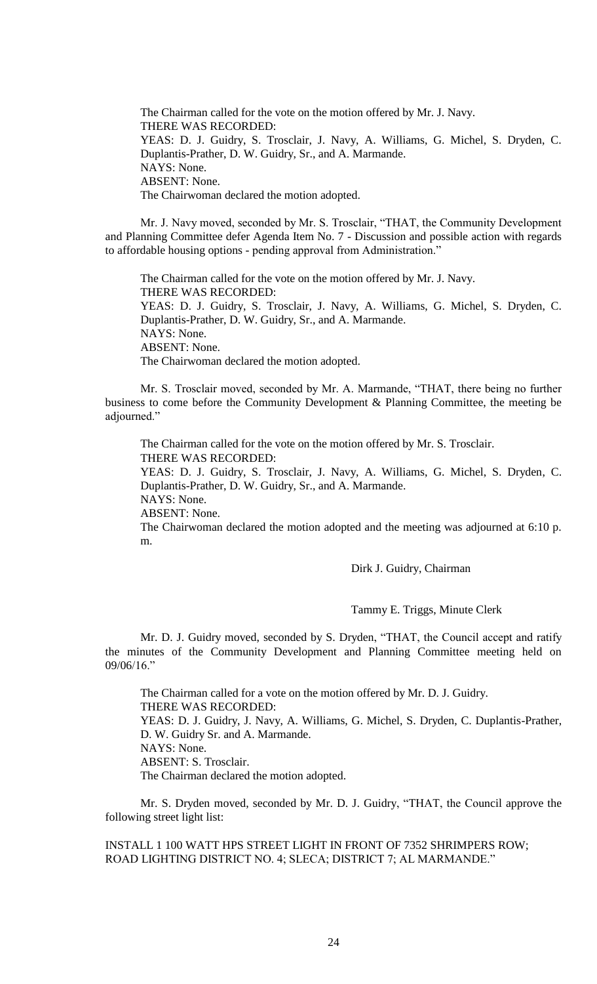The Chairman called for the vote on the motion offered by Mr. J. Navy. THERE WAS RECORDED: YEAS: D. J. Guidry, S. Trosclair, J. Navy, A. Williams, G. Michel, S. Dryden, C. Duplantis-Prather, D. W. Guidry, Sr., and A. Marmande. NAYS: None. ABSENT: None. The Chairwoman declared the motion adopted.

Mr. J. Navy moved, seconded by Mr. S. Trosclair, "THAT, the Community Development and Planning Committee defer Agenda Item No. 7 - Discussion and possible action with regards to affordable housing options - pending approval from Administration."

The Chairman called for the vote on the motion offered by Mr. J. Navy. THERE WAS RECORDED: YEAS: D. J. Guidry, S. Trosclair, J. Navy, A. Williams, G. Michel, S. Dryden, C. Duplantis-Prather, D. W. Guidry, Sr., and A. Marmande. NAYS: None. ABSENT: None. The Chairwoman declared the motion adopted.

Mr. S. Trosclair moved, seconded by Mr. A. Marmande, "THAT, there being no further business to come before the Community Development & Planning Committee, the meeting be adjourned."

The Chairman called for the vote on the motion offered by Mr. S. Trosclair. THERE WAS RECORDED: YEAS: D. J. Guidry, S. Trosclair, J. Navy, A. Williams, G. Michel, S. Dryden, C. Duplantis-Prather, D. W. Guidry, Sr., and A. Marmande. NAYS: None.

ABSENT: None.

The Chairwoman declared the motion adopted and the meeting was adjourned at 6:10 p. m.

Dirk J. Guidry, Chairman

Tammy E. Triggs, Minute Clerk

Mr. D. J. Guidry moved, seconded by S. Dryden, "THAT, the Council accept and ratify the minutes of the Community Development and Planning Committee meeting held on 09/06/16."

The Chairman called for a vote on the motion offered by Mr. D. J. Guidry. THERE WAS RECORDED: YEAS: D. J. Guidry, J. Navy, A. Williams, G. Michel, S. Dryden, C. Duplantis-Prather, D. W. Guidry Sr. and A. Marmande. NAYS: None. ABSENT: S. Trosclair. The Chairman declared the motion adopted.

Mr. S. Dryden moved, seconded by Mr. D. J. Guidry, "THAT, the Council approve the following street light list:

INSTALL 1 100 WATT HPS STREET LIGHT IN FRONT OF 7352 SHRIMPERS ROW; ROAD LIGHTING DISTRICT NO. 4; SLECA; DISTRICT 7; AL MARMANDE."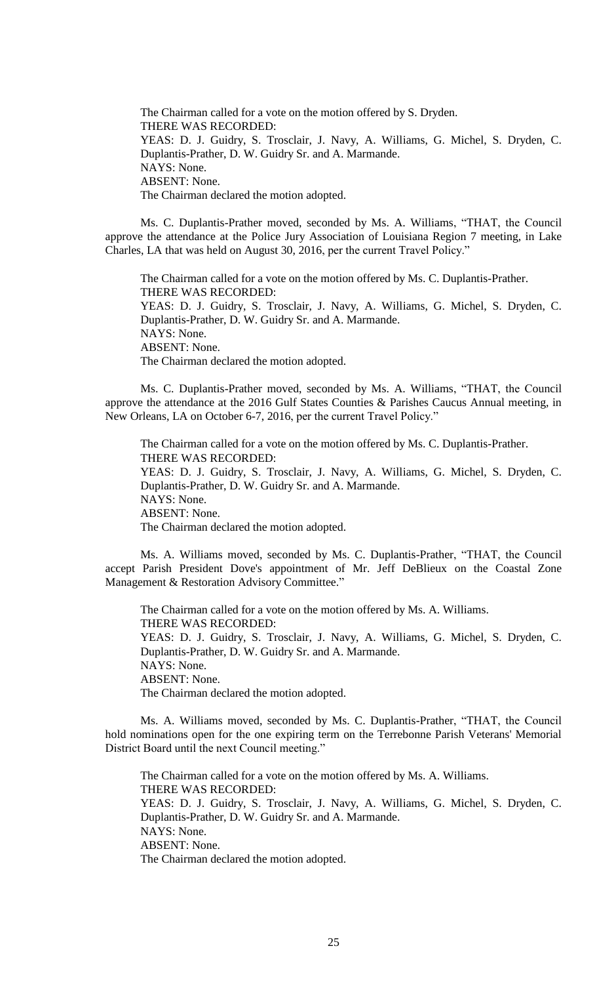The Chairman called for a vote on the motion offered by S. Dryden. THERE WAS RECORDED: YEAS: D. J. Guidry, S. Trosclair, J. Navy, A. Williams, G. Michel, S. Dryden, C. Duplantis-Prather, D. W. Guidry Sr. and A. Marmande. NAYS: None. ABSENT: None. The Chairman declared the motion adopted.

Ms. C. Duplantis-Prather moved, seconded by Ms. A. Williams, "THAT, the Council approve the attendance at the Police Jury Association of Louisiana Region 7 meeting, in Lake Charles, LA that was held on August 30, 2016, per the current Travel Policy."

The Chairman called for a vote on the motion offered by Ms. C. Duplantis-Prather. THERE WAS RECORDED: YEAS: D. J. Guidry, S. Trosclair, J. Navy, A. Williams, G. Michel, S. Dryden, C. Duplantis-Prather, D. W. Guidry Sr. and A. Marmande. NAYS: None. ABSENT: None. The Chairman declared the motion adopted.

Ms. C. Duplantis-Prather moved, seconded by Ms. A. Williams, "THAT, the Council approve the attendance at the 2016 Gulf States Counties & Parishes Caucus Annual meeting, in New Orleans, LA on October 6-7, 2016, per the current Travel Policy."

The Chairman called for a vote on the motion offered by Ms. C. Duplantis-Prather. THERE WAS RECORDED: YEAS: D. J. Guidry, S. Trosclair, J. Navy, A. Williams, G. Michel, S. Dryden, C. Duplantis-Prather, D. W. Guidry Sr. and A. Marmande. NAYS: None. ABSENT: None. The Chairman declared the motion adopted.

Ms. A. Williams moved, seconded by Ms. C. Duplantis-Prather, "THAT, the Council accept Parish President Dove's appointment of Mr. Jeff DeBlieux on the Coastal Zone Management & Restoration Advisory Committee."

The Chairman called for a vote on the motion offered by Ms. A. Williams. THERE WAS RECORDED: YEAS: D. J. Guidry, S. Trosclair, J. Navy, A. Williams, G. Michel, S. Dryden, C. Duplantis-Prather, D. W. Guidry Sr. and A. Marmande. NAYS: None. ABSENT: None. The Chairman declared the motion adopted.

Ms. A. Williams moved, seconded by Ms. C. Duplantis-Prather, "THAT, the Council hold nominations open for the one expiring term on the Terrebonne Parish Veterans' Memorial District Board until the next Council meeting."

The Chairman called for a vote on the motion offered by Ms. A. Williams. THERE WAS RECORDED: YEAS: D. J. Guidry, S. Trosclair, J. Navy, A. Williams, G. Michel, S. Dryden, C. Duplantis-Prather, D. W. Guidry Sr. and A. Marmande. NAYS: None. ABSENT: None. The Chairman declared the motion adopted.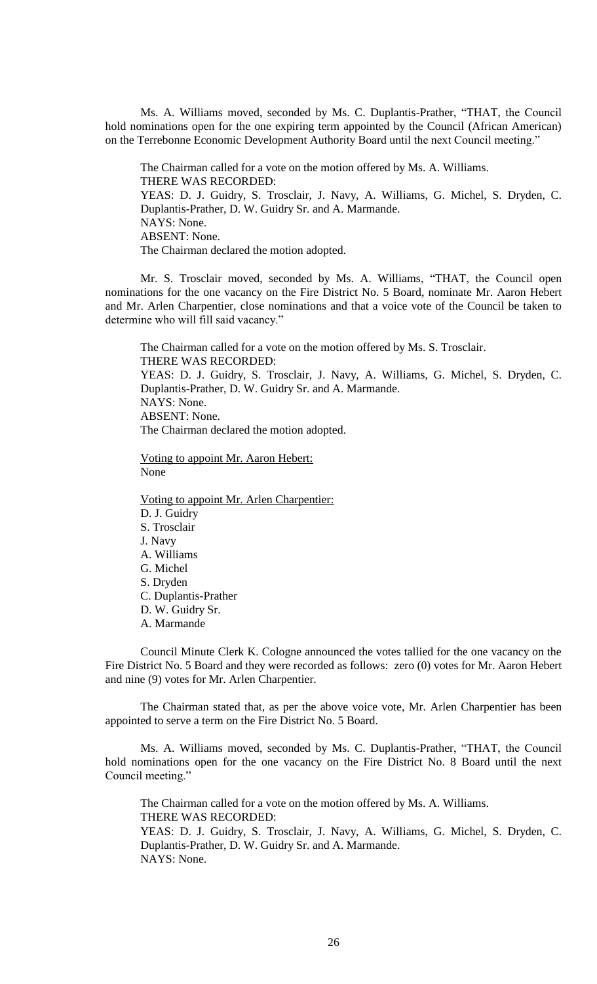Ms. A. Williams moved, seconded by Ms. C. Duplantis-Prather, "THAT, the Council hold nominations open for the one expiring term appointed by the Council (African American) on the Terrebonne Economic Development Authority Board until the next Council meeting."

The Chairman called for a vote on the motion offered by Ms. A. Williams. THERE WAS RECORDED: YEAS: D. J. Guidry, S. Trosclair, J. Navy, A. Williams, G. Michel, S. Dryden, C. Duplantis-Prather, D. W. Guidry Sr. and A. Marmande. NAYS: None. ABSENT: None. The Chairman declared the motion adopted.

Mr. S. Trosclair moved, seconded by Ms. A. Williams, "THAT, the Council open nominations for the one vacancy on the Fire District No. 5 Board, nominate Mr. Aaron Hebert and Mr. Arlen Charpentier, close nominations and that a voice vote of the Council be taken to determine who will fill said vacancy."

The Chairman called for a vote on the motion offered by Ms. S. Trosclair. THERE WAS RECORDED: YEAS: D. J. Guidry, S. Trosclair, J. Navy, A. Williams, G. Michel, S. Dryden, C. Duplantis-Prather, D. W. Guidry Sr. and A. Marmande. NAYS: None. ABSENT: None. The Chairman declared the motion adopted.

Voting to appoint Mr. Aaron Hebert: None

Voting to appoint Mr. Arlen Charpentier: D. J. Guidry S. Trosclair J. Navy A. Williams G. Michel S. Dryden C. Duplantis-Prather D. W. Guidry Sr. A. Marmande

Council Minute Clerk K. Cologne announced the votes tallied for the one vacancy on the Fire District No. 5 Board and they were recorded as follows: zero (0) votes for Mr. Aaron Hebert and nine (9) votes for Mr. Arlen Charpentier.

The Chairman stated that, as per the above voice vote, Mr. Arlen Charpentier has been appointed to serve a term on the Fire District No. 5 Board.

Ms. A. Williams moved, seconded by Ms. C. Duplantis-Prather, "THAT, the Council hold nominations open for the one vacancy on the Fire District No. 8 Board until the next Council meeting."

The Chairman called for a vote on the motion offered by Ms. A. Williams. THERE WAS RECORDED: YEAS: D. J. Guidry, S. Trosclair, J. Navy, A. Williams, G. Michel, S. Dryden, C. Duplantis-Prather, D. W. Guidry Sr. and A. Marmande. NAYS: None.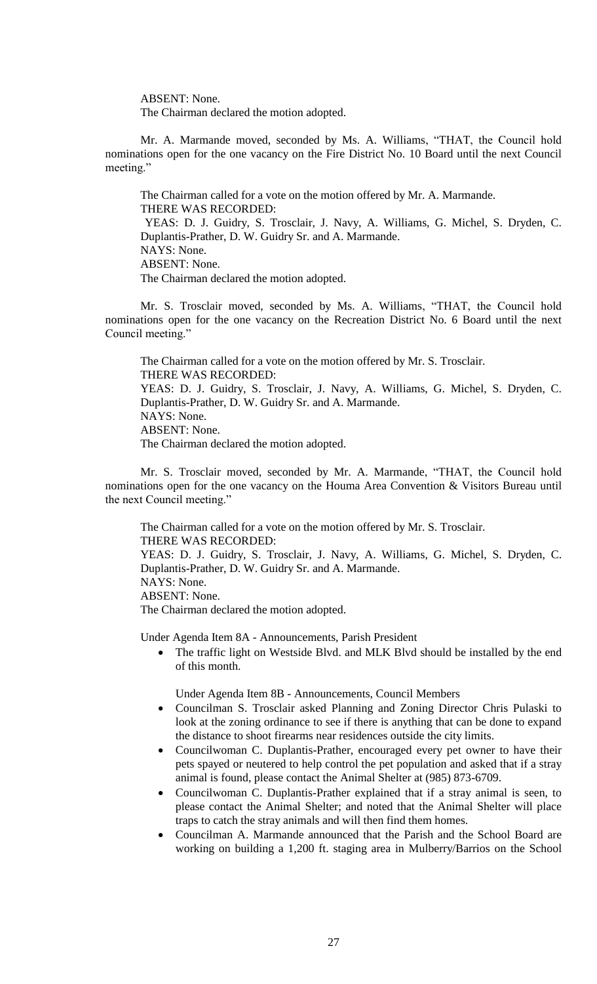ABSENT: None.

The Chairman declared the motion adopted.

Mr. A. Marmande moved, seconded by Ms. A. Williams, "THAT, the Council hold nominations open for the one vacancy on the Fire District No. 10 Board until the next Council meeting."

The Chairman called for a vote on the motion offered by Mr. A. Marmande. THERE WAS RECORDED: YEAS: D. J. Guidry, S. Trosclair, J. Navy, A. Williams, G. Michel, S. Dryden, C. Duplantis-Prather, D. W. Guidry Sr. and A. Marmande. NAYS: None. ABSENT: None. The Chairman declared the motion adopted.

Mr. S. Trosclair moved, seconded by Ms. A. Williams, "THAT, the Council hold nominations open for the one vacancy on the Recreation District No. 6 Board until the next Council meeting."

The Chairman called for a vote on the motion offered by Mr. S. Trosclair. THERE WAS RECORDED: YEAS: D. J. Guidry, S. Trosclair, J. Navy, A. Williams, G. Michel, S. Dryden, C. Duplantis-Prather, D. W. Guidry Sr. and A. Marmande. NAYS: None. ABSENT: None. The Chairman declared the motion adopted.

Mr. S. Trosclair moved, seconded by Mr. A. Marmande, "THAT, the Council hold nominations open for the one vacancy on the Houma Area Convention & Visitors Bureau until the next Council meeting."

The Chairman called for a vote on the motion offered by Mr. S. Trosclair. THERE WAS RECORDED: YEAS: D. J. Guidry, S. Trosclair, J. Navy, A. Williams, G. Michel, S. Dryden, C. Duplantis-Prather, D. W. Guidry Sr. and A. Marmande. NAYS: None. ABSENT: None. The Chairman declared the motion adopted.

Under Agenda Item 8A - Announcements, Parish President

 The traffic light on Westside Blvd. and MLK Blvd should be installed by the end of this month.

Under Agenda Item 8B - Announcements, Council Members

- Councilman S. Trosclair asked Planning and Zoning Director Chris Pulaski to look at the zoning ordinance to see if there is anything that can be done to expand the distance to shoot firearms near residences outside the city limits.
- Councilwoman C. Duplantis-Prather, encouraged every pet owner to have their pets spayed or neutered to help control the pet population and asked that if a stray animal is found, please contact the Animal Shelter at (985) 873-6709.
- Councilwoman C. Duplantis-Prather explained that if a stray animal is seen, to please contact the Animal Shelter; and noted that the Animal Shelter will place traps to catch the stray animals and will then find them homes.
- Councilman A. Marmande announced that the Parish and the School Board are working on building a 1,200 ft. staging area in Mulberry/Barrios on the School